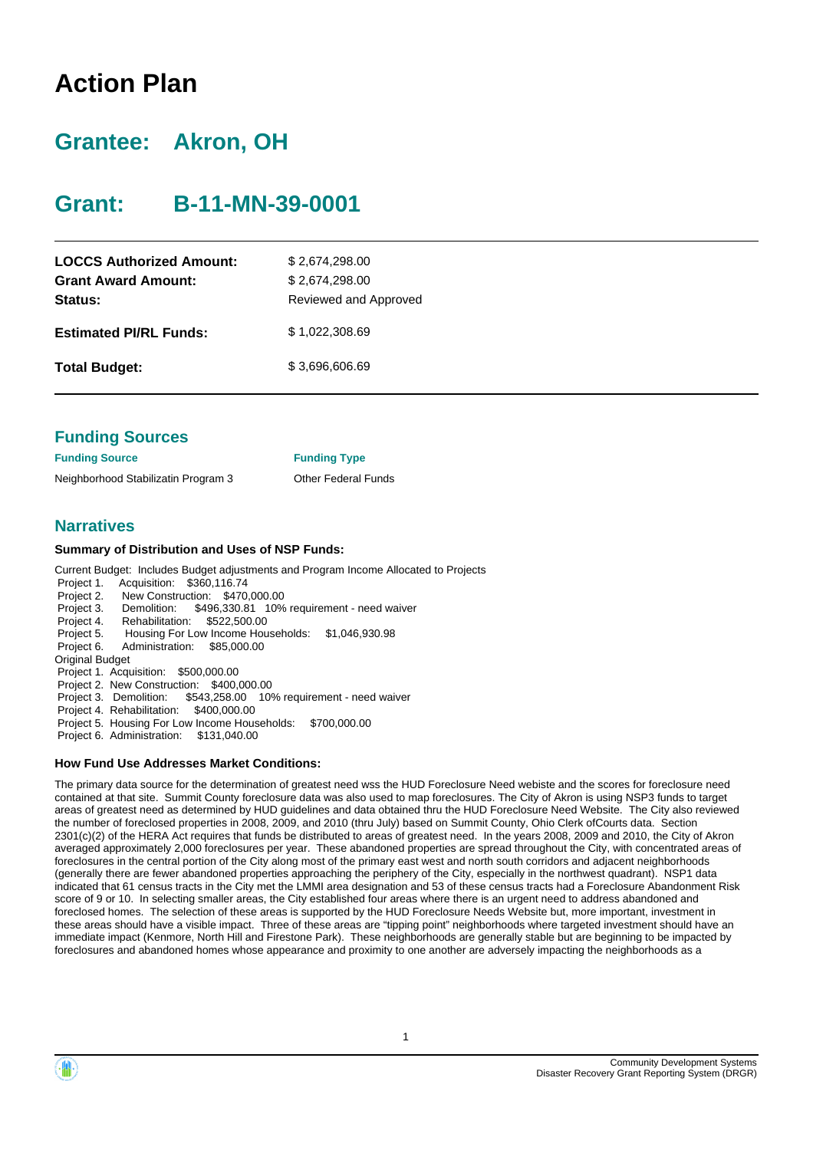## **Action Plan**

## **Grantee: Akron, OH**

## **Grant: B-11-MN-39-0001**

| <b>LOCCS Authorized Amount:</b><br><b>Grant Award Amount:</b><br>Status: | \$2,674,298.00<br>\$2,674,298.00<br>Reviewed and Approved |
|--------------------------------------------------------------------------|-----------------------------------------------------------|
| <b>Estimated PI/RL Funds:</b>                                            | \$1,022,308.69                                            |
| <b>Total Budget:</b>                                                     | \$3.696.606.69                                            |

| <b>Funding Sources</b>              |                            |
|-------------------------------------|----------------------------|
| <b>Funding Source</b>               | <b>Funding Type</b>        |
| Neighborhood Stabilizatin Program 3 | <b>Other Federal Funds</b> |

#### **Narratives**

#### **Summary of Distribution and Uses of NSP Funds:**

Current Budget: Includes Budget adjustments and Program Income Allocated to Projects Project 1. Acquisition: \$360,116.74 Project 2. New Construction: \$470,000.00 Project 3. Demolition: \$496,330.81 10% requirement - need waiver Project 4. Rehabilitation:<br>Project 5. Housing For Lo Housing For Low Income Households: \$1,046,930.98 Project 6. Administration: \$85,000.00 Original Budget Project 1. Acquisition: \$500,000.00 Project 2. New Construction: \$400,000.00 Project 3. Demolition: \$543,258.00 10% requirement - need waiver Project 4. Rehabilitation: \$400,000.00 Project 5. Housing For Low Income Households: \$700,000.00 Project 6. Administration: \$131,040.00

#### **How Fund Use Addresses Market Conditions:**

The primary data source for the determination of greatest need wss the HUD Foreclosure Need webiste and the scores for foreclosure need contained at that site. Summit County foreclosure data was also used to map foreclosures. The City of Akron is using NSP3 funds to target areas of greatest need as determined by HUD guidelines and data obtained thru the HUD Foreclosure Need Website. The City also reviewed the number of foreclosed properties in 2008, 2009, and 2010 (thru July) based on Summit County, Ohio Clerk ofCourts data. Section 2301(c)(2) of the HERA Act requires that funds be distributed to areas of greatest need. In the years 2008, 2009 and 2010, the City of Akron averaged approximately 2,000 foreclosures per year. These abandoned properties are spread throughout the City, with concentrated areas of foreclosures in the central portion of the City along most of the primary east west and north south corridors and adjacent neighborhoods (generally there are fewer abandoned properties approaching the periphery of the City, especially in the northwest quadrant). NSP1 data indicated that 61 census tracts in the City met the LMMI area designation and 53 of these census tracts had a Foreclosure Abandonment Risk score of 9 or 10. In selecting smaller areas, the City established four areas where there is an urgent need to address abandoned and foreclosed homes. The selection of these areas is supported by the HUD Foreclosure Needs Website but, more important, investment in these areas should have a visible impact. Three of these areas are "tipping point" neighborhoods where targeted investment should have an immediate impact (Kenmore, North Hill and Firestone Park). These neighborhoods are generally stable but are beginning to be impacted by foreclosures and abandoned homes whose appearance and proximity to one another are adversely impacting the neighborhoods as a

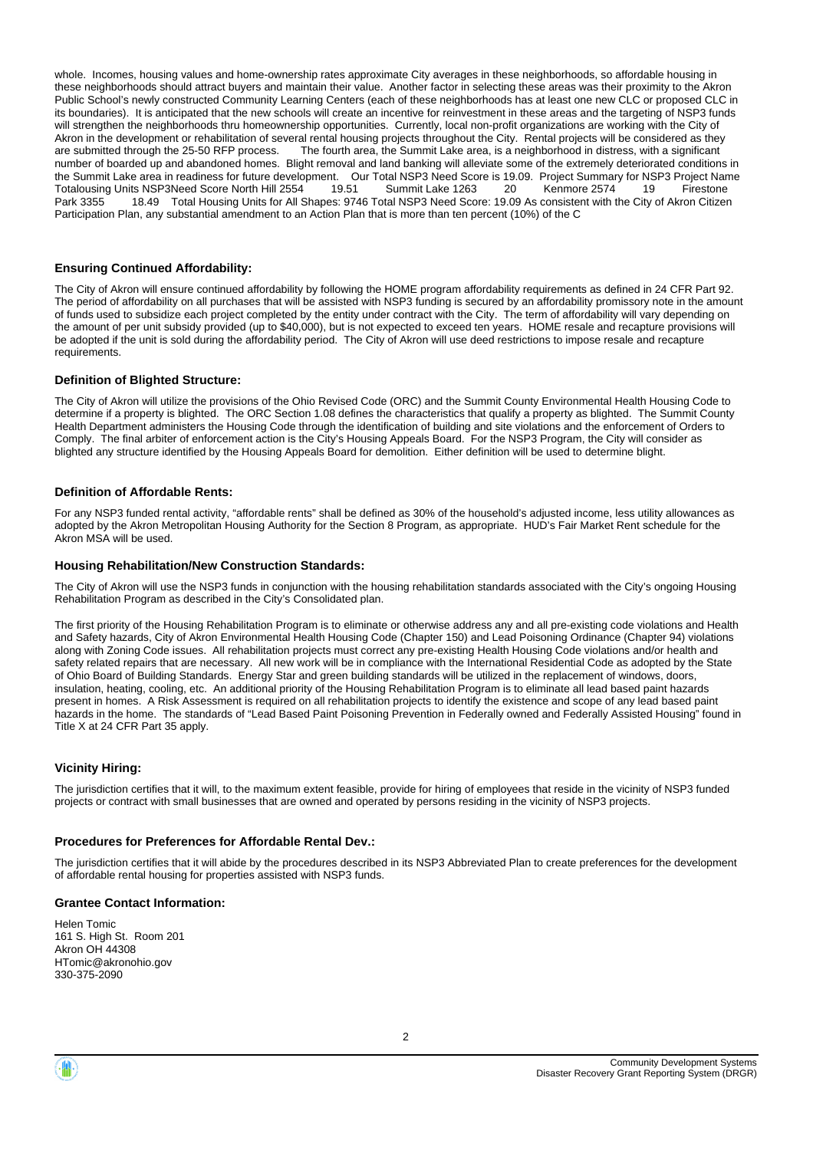whole. Incomes, housing values and home-ownership rates approximate City averages in these neighborhoods, so affordable housing in these neighborhoods should attract buyers and maintain their value. Another factor in selecting these areas was their proximity to the Akron Public School's newly constructed Community Learning Centers (each of these neighborhoods has at least one new CLC or proposed CLC in its boundaries). It is anticipated that the new schools will create an incentive for reinvestment in these areas and the targeting of NSP3 funds will strengthen the neighborhoods thru homeownership opportunities. Currently, local non-profit organizations are working with the City of Akron in the development or rehabilitation of several rental housing projects throughout the City. Rental projects will be considered as they are submitted through the 25-50 RFP process. The fourth area, the Summit Lake area, is a neighborhood in distress, with a significant number of boarded up and abandoned homes. Blight removal and land banking will alleviate some of the extremely deteriorated conditions in the Summit Lake area in readiness for future development. Our Total NSP3 Need Score is 19.09. Project Summary for NSP3 Project Name<br>Totalousing Units NSP3Need Score North Hill 2554 19.51 Summit Lake 1263 20 Kenmore 2574 19 Totalousing Units NSP3Need Score North Hill 2554 Park 3355 18.49 Total Housing Units for All Shapes: 9746 Total NSP3 Need Score: 19.09 As consistent with the City of Akron Citizen Participation Plan, any substantial amendment to an Action Plan that is more than ten percent (10%) of the C

#### **Ensuring Continued Affordability:**

The City of Akron will ensure continued affordability by following the HOME program affordability requirements as defined in 24 CFR Part 92. The period of affordability on all purchases that will be assisted with NSP3 funding is secured by an affordability promissory note in the amount of funds used to subsidize each project completed by the entity under contract with the City. The term of affordability will vary depending on the amount of per unit subsidy provided (up to \$40,000), but is not expected to exceed ten years. HOME resale and recapture provisions will be adopted if the unit is sold during the affordability period. The City of Akron will use deed restrictions to impose resale and recapture requirements.

#### **Definition of Blighted Structure:**

The City of Akron will utilize the provisions of the Ohio Revised Code (ORC) and the Summit County Environmental Health Housing Code to determine if a property is blighted. The ORC Section 1.08 defines the characteristics that qualify a property as blighted. The Summit County Health Department administers the Housing Code through the identification of building and site violations and the enforcement of Orders to Comply. The final arbiter of enforcement action is the City's Housing Appeals Board. For the NSP3 Program, the City will consider as blighted any structure identified by the Housing Appeals Board for demolition. Either definition will be used to determine blight.

#### **Definition of Affordable Rents:**

For any NSP3 funded rental activity, "affordable rents" shall be defined as 30% of the household's adjusted income, less utility allowances as adopted by the Akron Metropolitan Housing Authority for the Section 8 Program, as appropriate. HUD's Fair Market Rent schedule for the Akron MSA will be used.

#### **Housing Rehabilitation/New Construction Standards:**

The City of Akron will use the NSP3 funds in conjunction with the housing rehabilitation standards associated with the City's ongoing Housing Rehabilitation Program as described in the City's Consolidated plan.

The first priority of the Housing Rehabilitation Program is to eliminate or otherwise address any and all pre-existing code violations and Health and Safety hazards, City of Akron Environmental Health Housing Code (Chapter 150) and Lead Poisoning Ordinance (Chapter 94) violations along with Zoning Code issues. All rehabilitation projects must correct any pre-existing Health Housing Code violations and/or health and safety related repairs that are necessary. All new work will be in compliance with the International Residential Code as adopted by the State of Ohio Board of Building Standards. Energy Star and green building standards will be utilized in the replacement of windows, doors, insulation, heating, cooling, etc. An additional priority of the Housing Rehabilitation Program is to eliminate all lead based paint hazards present in homes. A Risk Assessment is required on all rehabilitation projects to identify the existence and scope of any lead based paint hazards in the home. The standards of "Lead Based Paint Poisoning Prevention in Federally owned and Federally Assisted Housing" found in Title X at 24 CFR Part 35 apply.

#### **Vicinity Hiring:**

The jurisdiction certifies that it will, to the maximum extent feasible, provide for hiring of employees that reside in the vicinity of NSP3 funded projects or contract with small businesses that are owned and operated by persons residing in the vicinity of NSP3 projects.

#### **Procedures for Preferences for Affordable Rental Dev.:**

The jurisdiction certifies that it will abide by the procedures described in its NSP3 Abbreviated Plan to create preferences for the development of affordable rental housing for properties assisted with NSP3 funds.

#### **Grantee Contact Information:**

Helen Tomic 161 S. High St. Room 201 Akron OH 44308 HTomic@akronohio.gov 330-375-2090

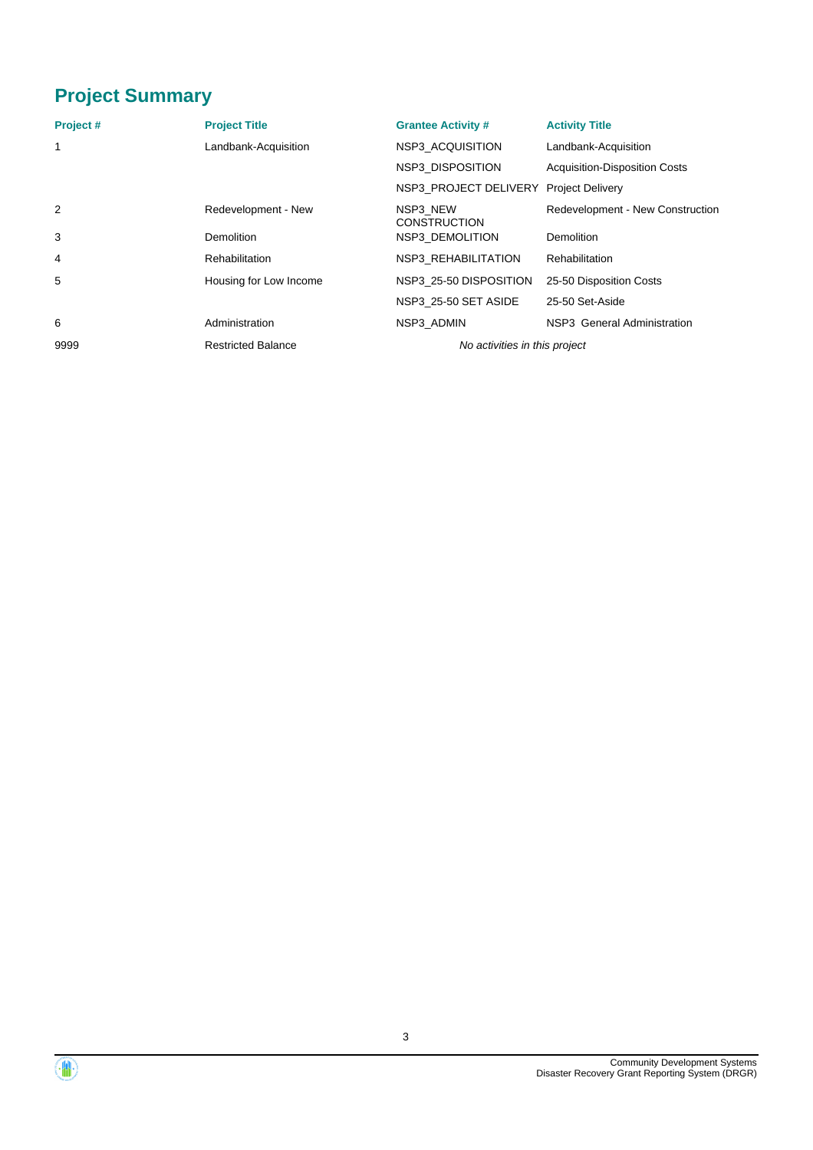## **Project Summary**

| Project# | <b>Project Title</b>      | <b>Grantee Activity #</b>       | <b>Activity Title</b>                |
|----------|---------------------------|---------------------------------|--------------------------------------|
| 1        | Landbank-Acquisition      | NSP3 ACQUISITION                | Landbank-Acquisition                 |
|          |                           | <b>NSP3 DISPOSITION</b>         | <b>Acquisition-Disposition Costs</b> |
|          |                           | NSP3_PROJECT DELIVERY           | <b>Project Delivery</b>              |
| 2        | Redevelopment - New       | NSP3 NEW<br><b>CONSTRUCTION</b> | Redevelopment - New Construction     |
| 3        | <b>Demolition</b>         | <b>NSP3 DEMOLITION</b>          | Demolition                           |
| 4        | <b>Rehabilitation</b>     | NSP3 REHABILITATION             | Rehabilitation                       |
| 5        | Housing for Low Income    | NSP3 25-50 DISPOSITION          | 25-50 Disposition Costs              |
|          |                           | NSP3 25-50 SET ASIDE            | 25-50 Set-Aside                      |
| 6        | Administration            | NSP3 ADMIN                      | NSP3 General Administration          |
| 9999     | <b>Restricted Balance</b> | No activities in this project   |                                      |

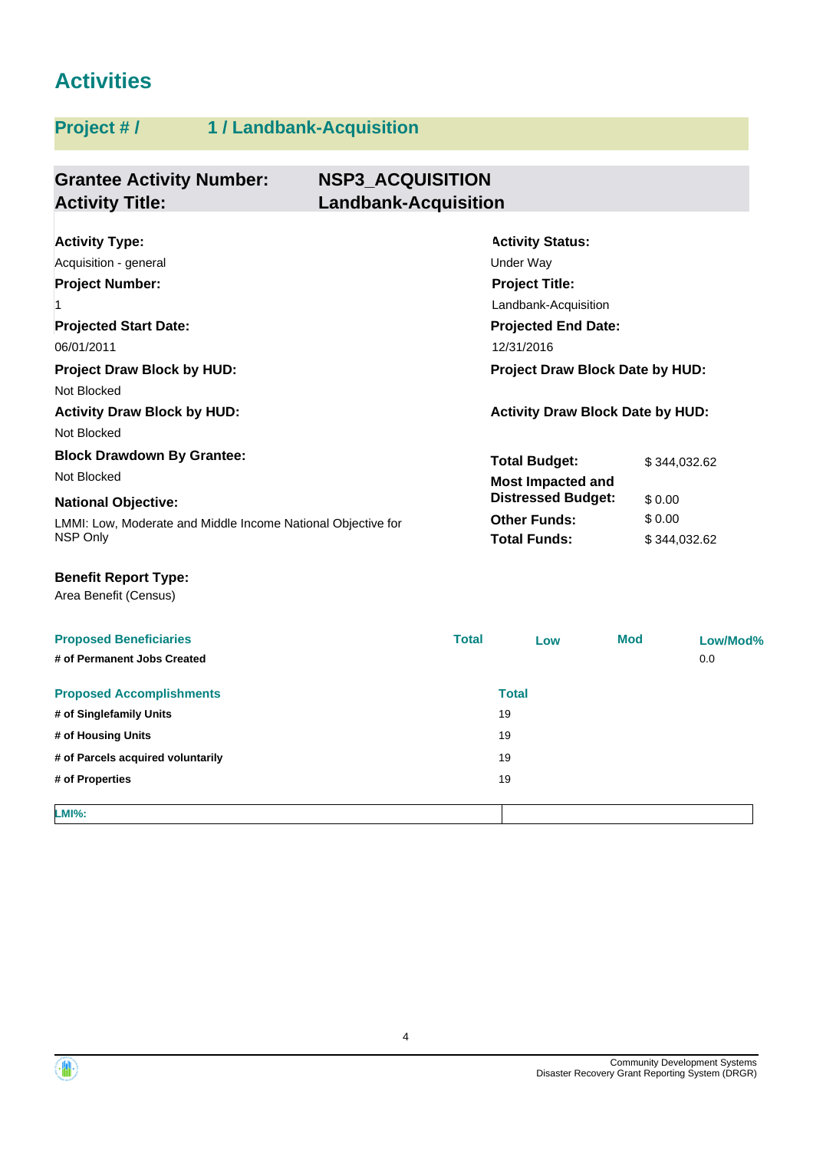## **Activities**

## **Project # / 1 / Landbank-Acquisition**

| <b>Grantee Activity Number:</b><br><b>Activity Title:</b>    | <b>NSP3_ACQUISITION</b><br><b>Landbank-Acquisition</b> |              |
|--------------------------------------------------------------|--------------------------------------------------------|--------------|
| <b>Activity Type:</b>                                        | <b>Activity Status:</b>                                |              |
| Acquisition - general                                        | Under Way                                              |              |
| <b>Project Number:</b>                                       | <b>Project Title:</b>                                  |              |
| 1                                                            | Landbank-Acquisition                                   |              |
| <b>Projected Start Date:</b>                                 | <b>Projected End Date:</b>                             |              |
| 06/01/2011                                                   | 12/31/2016                                             |              |
| <b>Project Draw Block by HUD:</b>                            | Project Draw Block Date by HUD:                        |              |
| Not Blocked                                                  |                                                        |              |
| <b>Activity Draw Block by HUD:</b>                           | <b>Activity Draw Block Date by HUD:</b>                |              |
| Not Blocked                                                  |                                                        |              |
| <b>Block Drawdown By Grantee:</b>                            | <b>Total Budget:</b>                                   | \$344,032.62 |
| Not Blocked                                                  | <b>Most Impacted and</b>                               |              |
| <b>National Objective:</b>                                   | <b>Distressed Budget:</b>                              | \$0.00       |
| LMMI: Low, Moderate and Middle Income National Objective for | <b>Other Funds:</b>                                    | \$0.00       |
| NSP Only                                                     | <b>Total Funds:</b>                                    | \$344,032.62 |

#### **Benefit Report Type:**

Area Benefit (Census)

| <b>Proposed Beneficiaries</b>     | <b>Total</b> | Low          | <b>Mod</b> | Low/Mod% |
|-----------------------------------|--------------|--------------|------------|----------|
| # of Permanent Jobs Created       |              |              |            | 0.0      |
| <b>Proposed Accomplishments</b>   |              | <b>Total</b> |            |          |
| # of Singlefamily Units           | 19           |              |            |          |
| # of Housing Units                | 19           |              |            |          |
| # of Parcels acquired voluntarily | 19           |              |            |          |
| # of Properties                   | 19           |              |            |          |
| <b>LMI%:</b>                      |              |              |            |          |

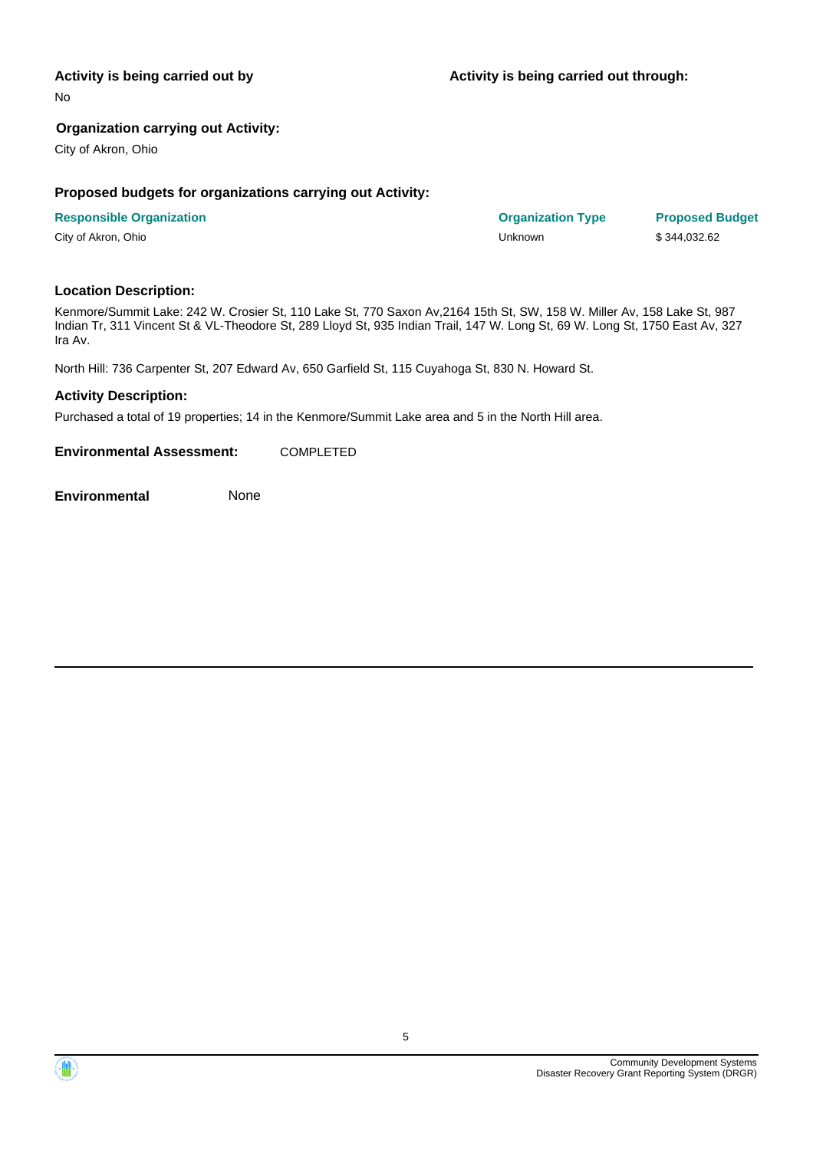#### **Activity is being carried out by**

No

#### **Organization carrying out Activity:**

City of Akron, Ohio

#### **Proposed budgets for organizations carrying out Activity:**

| <b>Responsible Organization</b> | <b>Organization Type</b> | <b>Proposed Budget</b> |
|---------------------------------|--------------------------|------------------------|
| City of Akron, Ohio             | Unknown                  | \$344.032.62           |

#### **Location Description:**

Kenmore/Summit Lake: 242 W. Crosier St, 110 Lake St, 770 Saxon Av,2164 15th St, SW, 158 W. Miller Av, 158 Lake St, 987 Indian Tr, 311 Vincent St & VL-Theodore St, 289 Lloyd St, 935 Indian Trail, 147 W. Long St, 69 W. Long St, 1750 East Av, 327 Ira Av.

North Hill: 736 Carpenter St, 207 Edward Av, 650 Garfield St, 115 Cuyahoga St, 830 N. Howard St.

#### **Activity Description:**

Purchased a total of 19 properties; 14 in the Kenmore/Summit Lake area and 5 in the North Hill area.

**Environmental Assessment:** COMPLETED

**Environmental** None

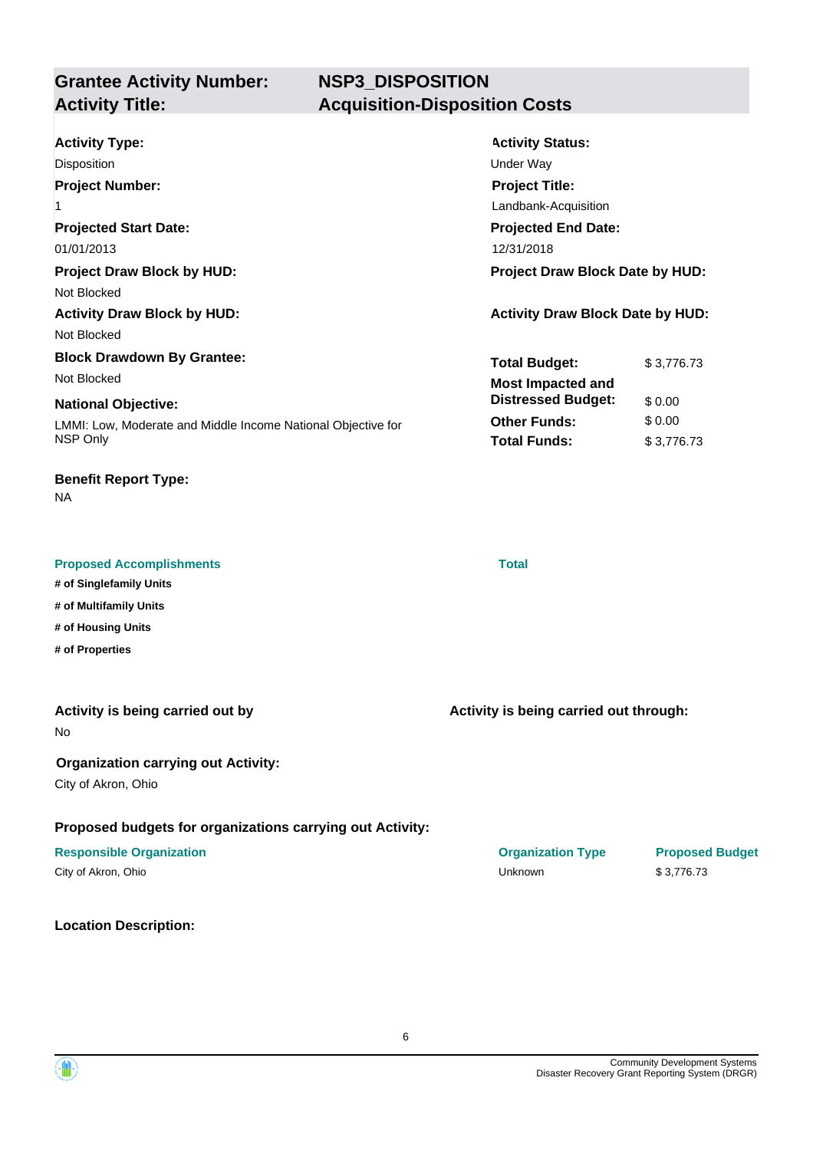# **Grantee Activity Number:**

## **NSP3\_DISPOSITION Activity Title: Acquisition-Disposition Costs**

| <b>Activity Type:</b><br><b>Disposition</b>                  | <b>Activity Status:</b><br>Under Way    |  |
|--------------------------------------------------------------|-----------------------------------------|--|
| <b>Project Number:</b>                                       | <b>Project Title:</b>                   |  |
| 1                                                            | Landbank-Acquisition                    |  |
| <b>Projected Start Date:</b>                                 | <b>Projected End Date:</b>              |  |
| 01/01/2013                                                   | 12/31/2018                              |  |
| <b>Project Draw Block by HUD:</b>                            | <b>Project Draw Block Date by HUD:</b>  |  |
| Not Blocked                                                  |                                         |  |
| <b>Activity Draw Block by HUD:</b>                           | <b>Activity Draw Block Date by HUD:</b> |  |
| Not Blocked                                                  |                                         |  |
| <b>Block Drawdown By Grantee:</b>                            | <b>Total Budget:</b><br>\$3,776.73      |  |
| Not Blocked                                                  | <b>Most Impacted and</b>                |  |
| <b>National Objective:</b>                                   | <b>Distressed Budget:</b><br>\$0.00     |  |
| LMMI: Low, Moderate and Middle Income National Objective for | <b>Other Funds:</b><br>\$0.00           |  |
| NSP Only                                                     | <b>Total Funds:</b><br>\$3,776.73       |  |

#### **Benefit Report Type:**

NA

#### **Proposed Accomplishments Total**

- **# of Singlefamily Units**
- **# of Multifamily Units**
- **# of Housing Units**
- **# of Properties**

#### **Activity is being carried out by**

No

#### **Organization carrying out Activity:**

City of Akron, Ohio

#### **Proposed budgets for organizations carrying out Activity:**

#### **Responsible Organization COVID-10 COVID-10 Organization Type Proposed Budget**

#### **Location Description:**

**Activity is being carried out through:**

| <b>Responsible Organization</b> | <b>Organization Type</b> | <b>Propose</b> |
|---------------------------------|--------------------------|----------------|
| City of Akron, Ohio             | Unknown                  | \$3,776.73     |

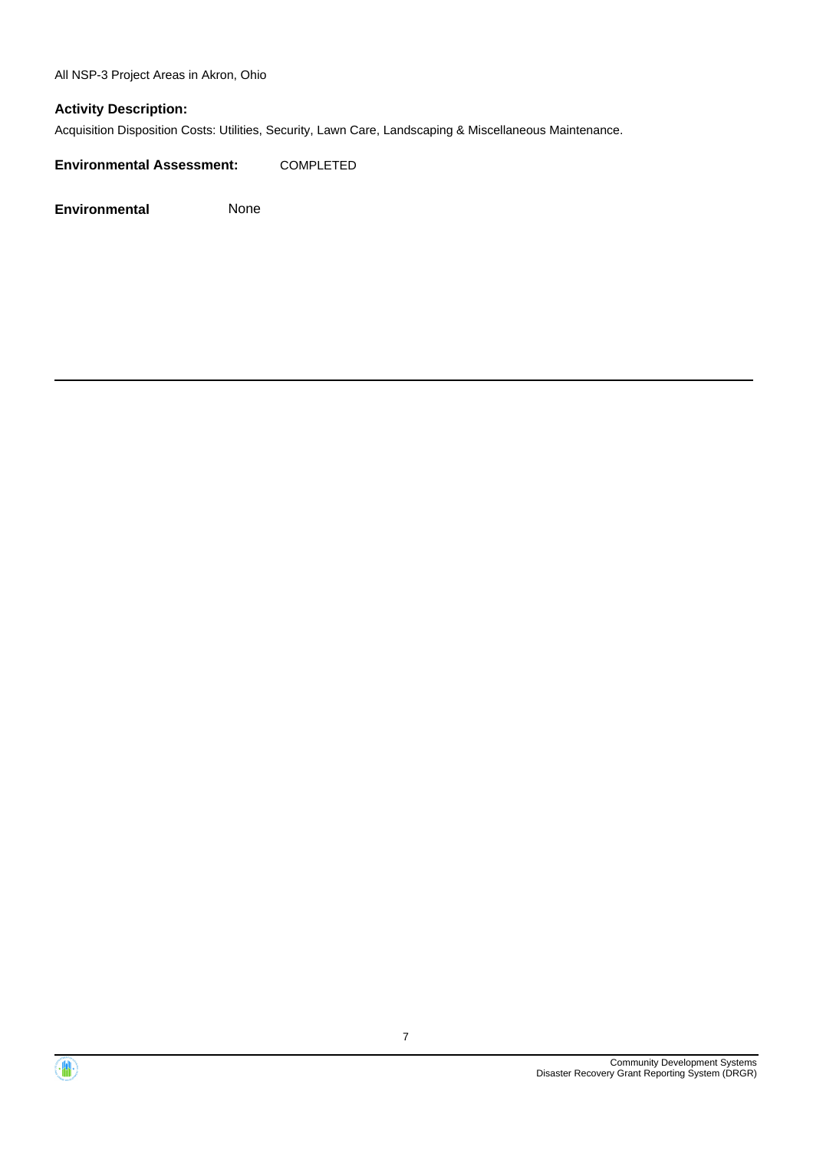All NSP-3 Project Areas in Akron, Ohio

#### **Activity Description:**

Acquisition Disposition Costs: Utilities, Security, Lawn Care, Landscaping & Miscellaneous Maintenance.

**Environmental Assessment:** COMPLETED

**Environmental** None



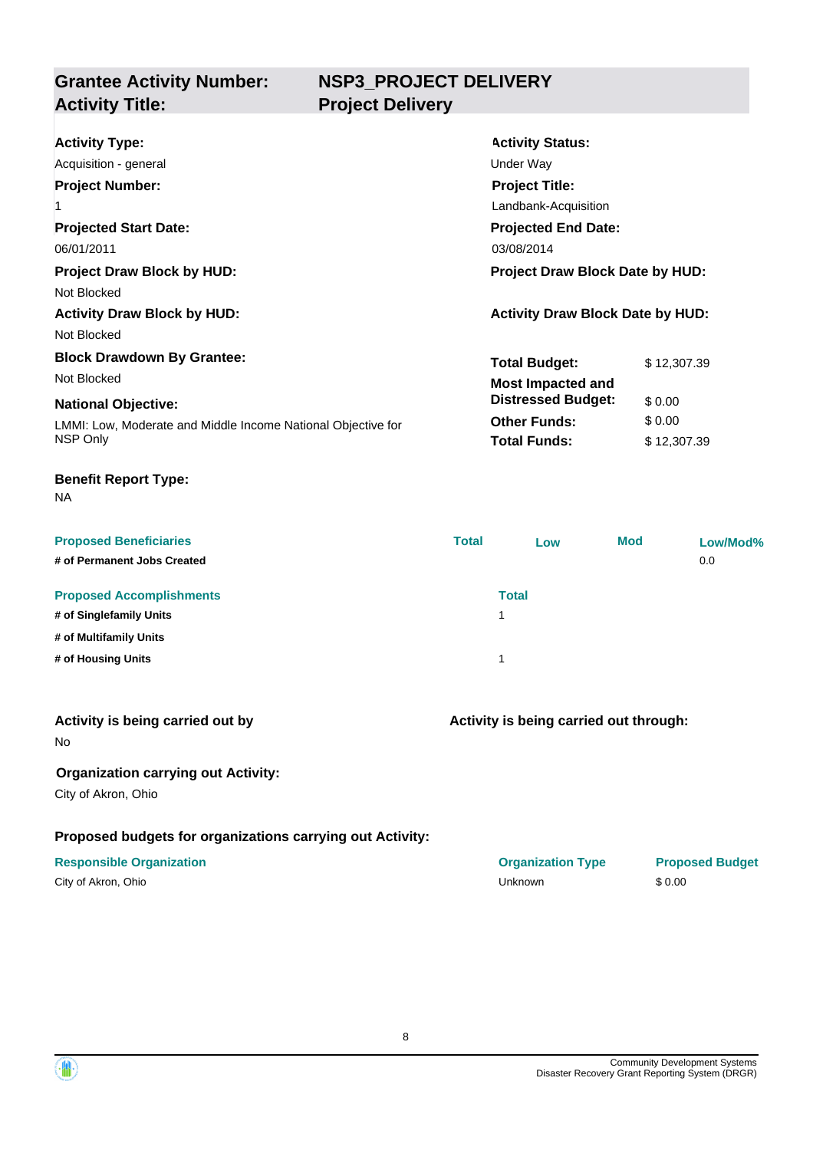**Grantee Activity Number: Activity Title: Project Delivery**

# **NSP3\_PROJECT DELIVERY**

| <b>Activity Type:</b>                                        | <b>Activity Status:</b>                 |             |
|--------------------------------------------------------------|-----------------------------------------|-------------|
| Acquisition - general                                        | Under Way                               |             |
| <b>Project Number:</b>                                       | <b>Project Title:</b>                   |             |
| 1                                                            | Landbank-Acquisition                    |             |
| <b>Projected Start Date:</b>                                 | <b>Projected End Date:</b>              |             |
| 06/01/2011                                                   | 03/08/2014                              |             |
| <b>Project Draw Block by HUD:</b>                            | <b>Project Draw Block Date by HUD:</b>  |             |
| Not Blocked                                                  |                                         |             |
| <b>Activity Draw Block by HUD:</b>                           | <b>Activity Draw Block Date by HUD:</b> |             |
| Not Blocked                                                  |                                         |             |
| <b>Block Drawdown By Grantee:</b>                            | <b>Total Budget:</b>                    | \$12,307.39 |
| Not Blocked                                                  | <b>Most Impacted and</b>                |             |
| <b>National Objective:</b>                                   | <b>Distressed Budget:</b>               | \$0.00      |
| LMMI: Low, Moderate and Middle Income National Objective for | <b>Other Funds:</b>                     | \$0.00      |
| NSP Only                                                     | <b>Total Funds:</b>                     | \$12,307.39 |
|                                                              |                                         |             |

#### **Benefit Report Type:**

NA

| <b>Proposed Beneficiaries</b>   | <b>Total</b> | Low          | <b>Mod</b> | Low/Mod% |
|---------------------------------|--------------|--------------|------------|----------|
| # of Permanent Jobs Created     |              |              |            | 0.0      |
| <b>Proposed Accomplishments</b> |              | <b>Total</b> |            |          |
| # of Singlefamily Units         |              |              |            |          |
| # of Multifamily Units          |              |              |            |          |
| # of Housing Units              |              |              |            |          |

#### **Activity is being carried out by**

No

#### **Organization carrying out Activity:**

City of Akron, Ohio

#### **Proposed budgets for organizations carrying out Activity:**

#### **Responsible Organization Organization Type Proposed Budget**

City of Akron, Ohio Unknown \$ 0.000 U

**Activity is being carried out through:**

| . .     | - - |        |
|---------|-----|--------|
| Jnknown |     | \$0.00 |
|         |     |        |

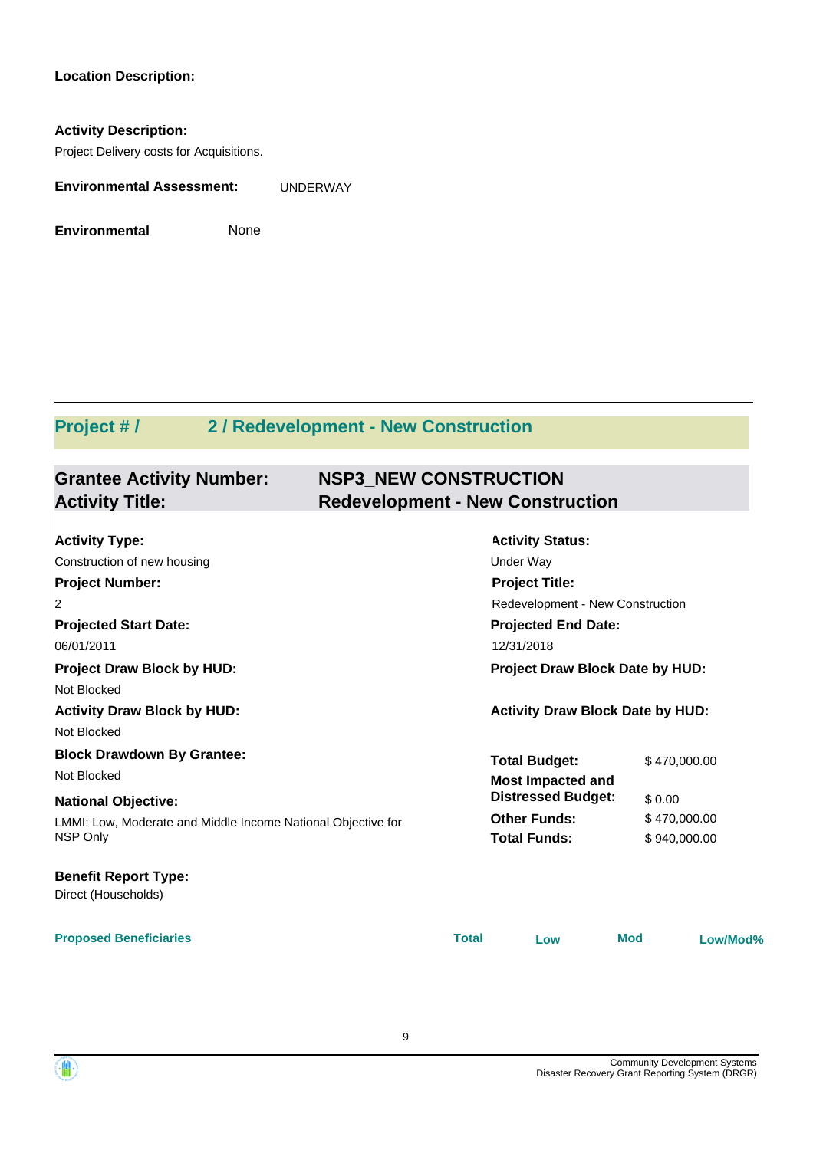#### **Location Description:**

**Activity Description:** Project Delivery costs for Acquisitions. **Environmental Assessment:** UNDERWAY

**Environmental** None

## **Project # / 2 / Redevelopment - New Construction**

| <b>Grantee Activity Number:</b> | <b>NSP3 NEW CONSTRUCTION</b>            |
|---------------------------------|-----------------------------------------|
| <b>Activity Title:</b>          | <b>Redevelopment - New Construction</b> |

| <b>Activity Type:</b>                                        | <b>Activity Status:</b>          |                                         |            |              |
|--------------------------------------------------------------|----------------------------------|-----------------------------------------|------------|--------------|
| Construction of new housing                                  |                                  | <b>Under Way</b>                        |            |              |
| <b>Project Number:</b>                                       |                                  | <b>Project Title:</b>                   |            |              |
| 2                                                            | Redevelopment - New Construction |                                         |            |              |
| <b>Projected Start Date:</b>                                 | <b>Projected End Date:</b>       |                                         |            |              |
| 06/01/2011                                                   |                                  | 12/31/2018                              |            |              |
| <b>Project Draw Block by HUD:</b>                            |                                  | Project Draw Block Date by HUD:         |            |              |
| Not Blocked                                                  |                                  |                                         |            |              |
| <b>Activity Draw Block by HUD:</b>                           |                                  | <b>Activity Draw Block Date by HUD:</b> |            |              |
| Not Blocked                                                  |                                  |                                         |            |              |
| <b>Block Drawdown By Grantee:</b>                            |                                  | <b>Total Budget:</b>                    |            | \$470,000.00 |
| Not Blocked                                                  |                                  | <b>Most Impacted and</b>                |            |              |
| <b>National Objective:</b>                                   |                                  | <b>Distressed Budget:</b>               | \$0.00     |              |
| LMMI: Low, Moderate and Middle Income National Objective for |                                  | <b>Other Funds:</b>                     |            | \$470,000.00 |
| NSP Only                                                     |                                  | <b>Total Funds:</b>                     |            | \$940,000.00 |
| <b>Benefit Report Type:</b>                                  |                                  |                                         |            |              |
| Direct (Households)                                          |                                  |                                         |            |              |
| <b>Proposed Beneficiaries</b>                                | <b>Total</b>                     | Low                                     | <b>Mod</b> | Low/Mod%     |
|                                                              |                                  |                                         |            |              |



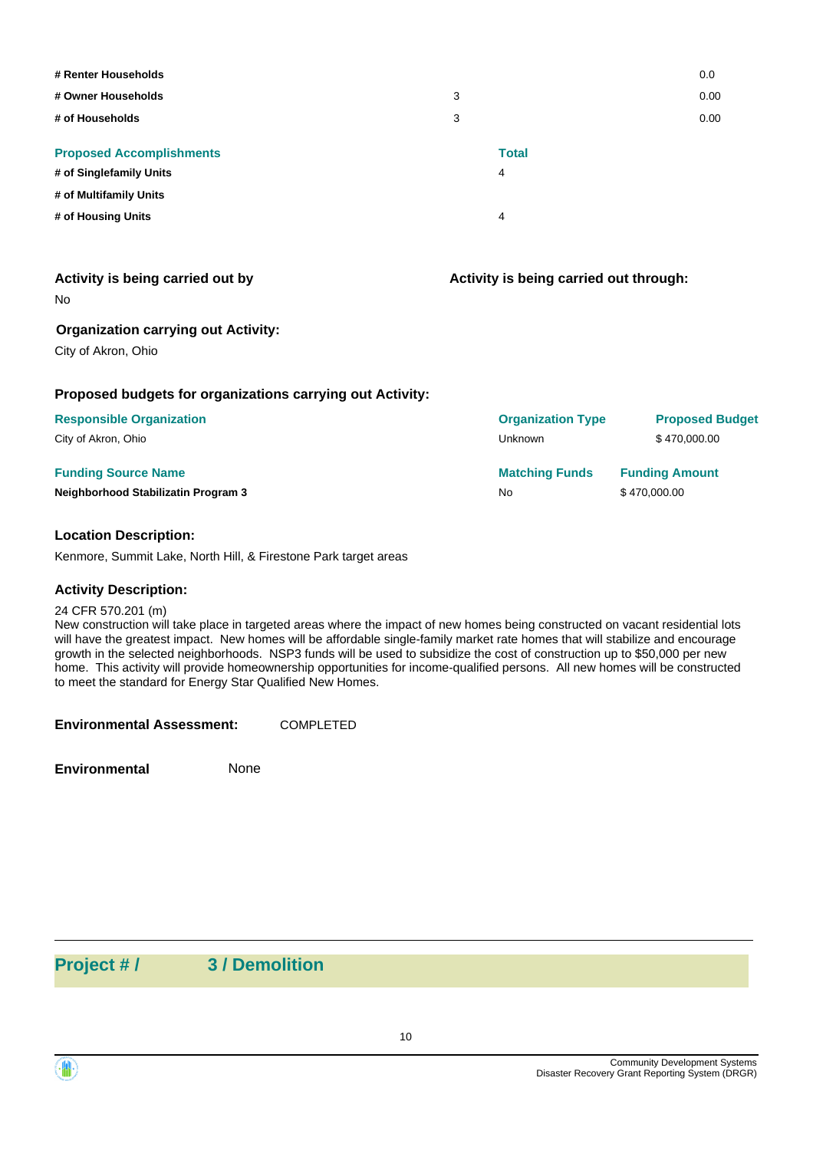| # Renter Households             |   |              | 0.0  |
|---------------------------------|---|--------------|------|
| # Owner Households              | 3 |              | 0.00 |
| # of Households                 | 3 |              | 0.00 |
| <b>Proposed Accomplishments</b> |   | <b>Total</b> |      |
| # of Singlefamily Units         |   | 4            |      |
| # of Multifamily Units          |   |              |      |
| # of Housing Units              |   | 4            |      |

| Activity is being carried out by |  |  |  |  |  |
|----------------------------------|--|--|--|--|--|
|----------------------------------|--|--|--|--|--|

No

#### **Organization carrying out Activity:**

City of Akron, Ohio

#### **Proposed budgets for organizations carrying out Activity:**

| <b>Responsible Organization</b>     | <b>Organization Type</b> | <b>Proposed Budget</b> |
|-------------------------------------|--------------------------|------------------------|
| City of Akron, Ohio                 | Unknown                  | \$470,000.00           |
| <b>Funding Source Name</b>          | <b>Matching Funds</b>    | <b>Funding Amount</b>  |
| Neighborhood Stabilizatin Program 3 | No                       | \$470,000.00           |

**Activity is being carried out through:**

#### **Location Description:**

Kenmore, Summit Lake, North Hill, & Firestone Park target areas

#### **Activity Description:**

#### 24 CFR 570.201 (m)

New construction will take place in targeted areas where the impact of new homes being constructed on vacant residential lots will have the greatest impact. New homes will be affordable single-family market rate homes that will stabilize and encourage growth in the selected neighborhoods. NSP3 funds will be used to subsidize the cost of construction up to \$50,000 per new home. This activity will provide homeownership opportunities for income-qualified persons. All new homes will be constructed to meet the standard for Energy Star Qualified New Homes.

**Environmental Assessment:** COMPLETED

**Environmental** None

## **Project # / 3 / Demolition**

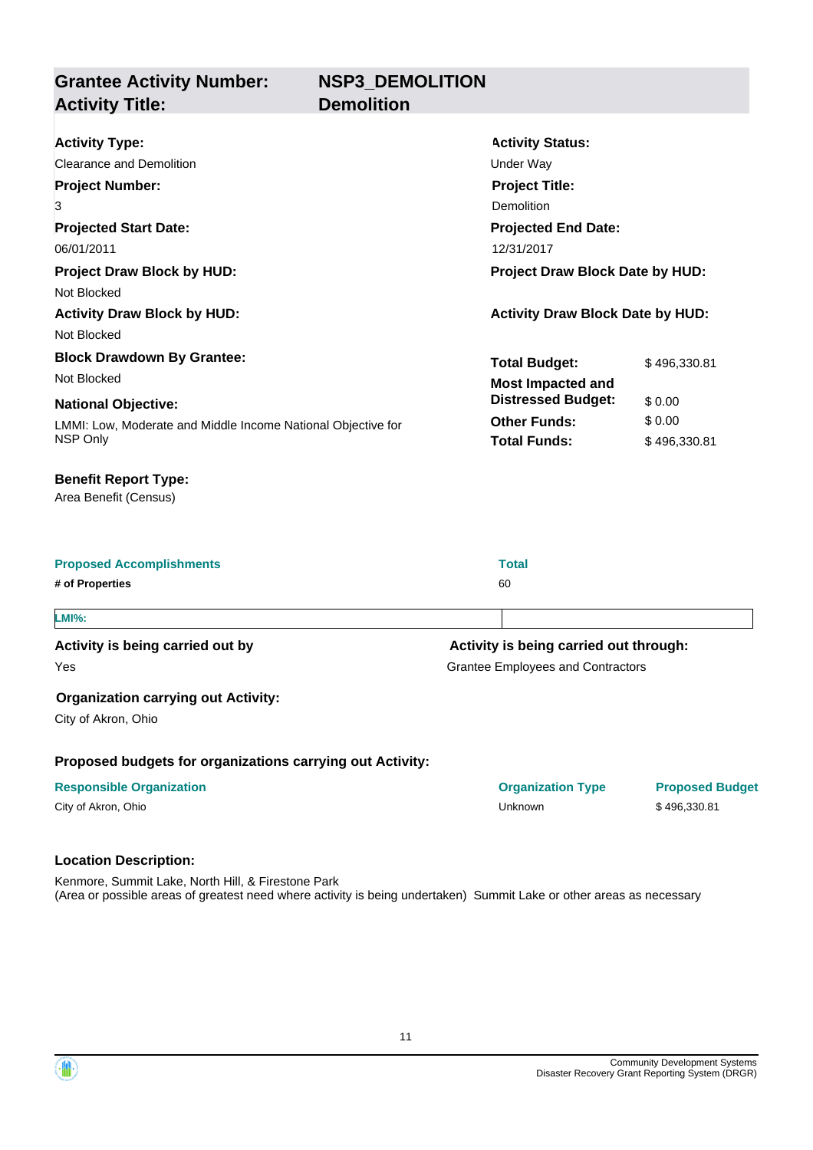**NSP3\_DEMOLITION**

**Grantee Activity Number: Activity Title: Demolition**

| <b>Activity Type:</b>                                             | <b>Activity Status:</b>                  |                        |  |  |  |  |
|-------------------------------------------------------------------|------------------------------------------|------------------------|--|--|--|--|
| <b>Clearance and Demolition</b>                                   | Under Way                                |                        |  |  |  |  |
| <b>Project Number:</b>                                            | <b>Project Title:</b>                    |                        |  |  |  |  |
| 3                                                                 | Demolition                               |                        |  |  |  |  |
| <b>Projected Start Date:</b>                                      | <b>Projected End Date:</b>               |                        |  |  |  |  |
| 06/01/2011                                                        | 12/31/2017                               |                        |  |  |  |  |
| <b>Project Draw Block by HUD:</b>                                 | Project Draw Block Date by HUD:          |                        |  |  |  |  |
| Not Blocked                                                       |                                          |                        |  |  |  |  |
| <b>Activity Draw Block by HUD:</b>                                | <b>Activity Draw Block Date by HUD:</b>  |                        |  |  |  |  |
| Not Blocked                                                       |                                          |                        |  |  |  |  |
| <b>Block Drawdown By Grantee:</b>                                 | <b>Total Budget:</b>                     | \$496,330.81           |  |  |  |  |
| Not Blocked                                                       | <b>Most Impacted and</b>                 |                        |  |  |  |  |
| <b>National Objective:</b>                                        | <b>Distressed Budget:</b>                | \$0.00                 |  |  |  |  |
| LMMI: Low, Moderate and Middle Income National Objective for      | <b>Other Funds:</b>                      | \$0.00                 |  |  |  |  |
| NSP Only                                                          | <b>Total Funds:</b>                      | \$496,330.81           |  |  |  |  |
| <b>Benefit Report Type:</b><br>Area Benefit (Census)              |                                          |                        |  |  |  |  |
| <b>Proposed Accomplishments</b>                                   | <b>Total</b>                             |                        |  |  |  |  |
| # of Properties                                                   | 60                                       |                        |  |  |  |  |
| <b>LMI%:</b>                                                      |                                          |                        |  |  |  |  |
| Activity is being carried out by                                  | Activity is being carried out through:   |                        |  |  |  |  |
| Yes                                                               | <b>Grantee Employees and Contractors</b> |                        |  |  |  |  |
| <b>Organization carrying out Activity:</b><br>City of Akron, Ohio |                                          |                        |  |  |  |  |
| Proposed budgets for organizations carrying out Activity:         |                                          |                        |  |  |  |  |
| <b>Responsible Organization</b>                                   | <b>Organization Type</b>                 | <b>Proposed Budget</b> |  |  |  |  |
| City of Akron, Ohio                                               | Unknown                                  | \$496,330.81           |  |  |  |  |
|                                                                   |                                          |                        |  |  |  |  |

#### **Location Description:**

Kenmore, Summit Lake, North Hill, & Firestone Park (Area or possible areas of greatest need where activity is being undertaken) Summit Lake or other areas as necessary



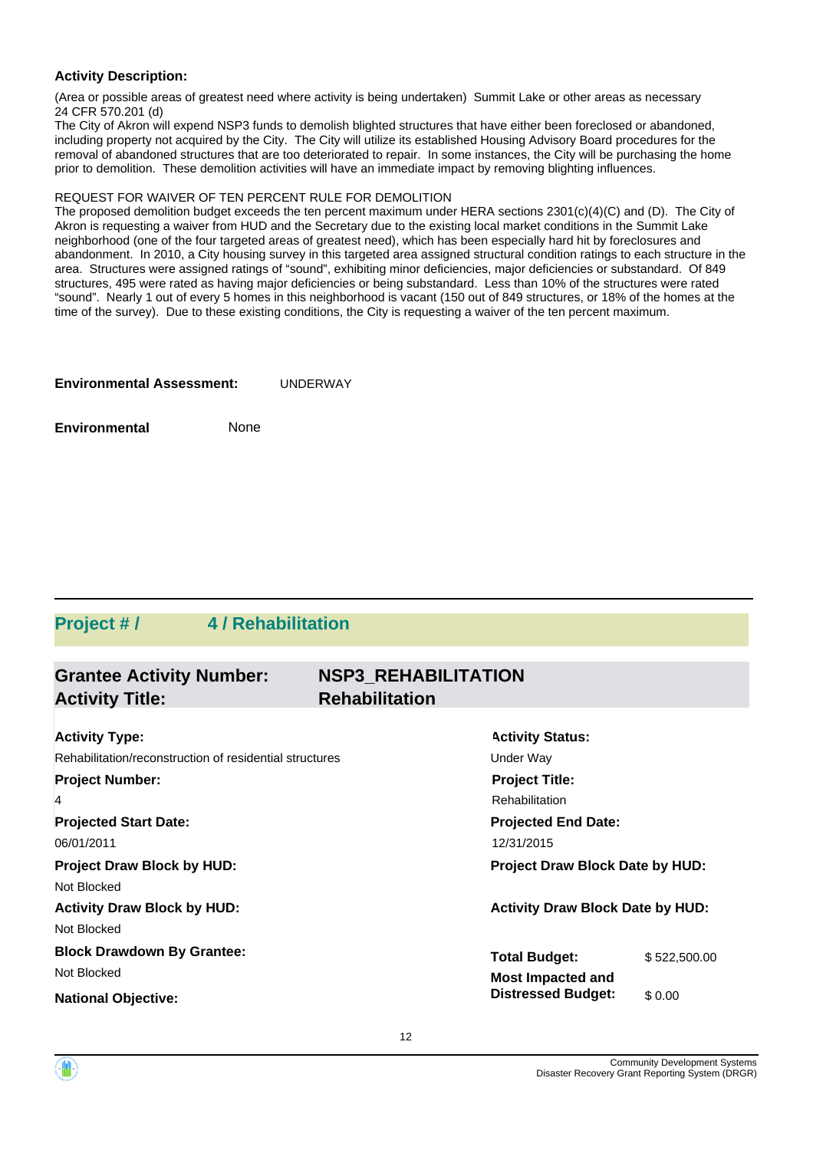#### **Activity Description:**

(Area or possible areas of greatest need where activity is being undertaken) Summit Lake or other areas as necessary 24 CFR 570.201 (d)

The City of Akron will expend NSP3 funds to demolish blighted structures that have either been foreclosed or abandoned, including property not acquired by the City. The City will utilize its established Housing Advisory Board procedures for the removal of abandoned structures that are too deteriorated to repair. In some instances, the City will be purchasing the home prior to demolition. These demolition activities will have an immediate impact by removing blighting influences.

#### REQUEST FOR WAIVER OF TEN PERCENT RULE FOR DEMOLITION

The proposed demolition budget exceeds the ten percent maximum under HERA sections 2301(c)(4)(C) and (D). The City of Akron is requesting a waiver from HUD and the Secretary due to the existing local market conditions in the Summit Lake neighborhood (one of the four targeted areas of greatest need), which has been especially hard hit by foreclosures and abandonment. In 2010, a City housing survey in this targeted area assigned structural condition ratings to each structure in the area. Structures were assigned ratings of "sound", exhibiting minor deficiencies, major deficiencies or substandard. Of 849 structures, 495 were rated as having major deficiencies or being substandard. Less than 10% of the structures were rated "sound". Nearly 1 out of every 5 homes in this neighborhood is vacant (150 out of 849 structures, or 18% of the homes at the time of the survey). Due to these existing conditions, the City is requesting a waiver of the ten percent maximum.

| <b>Environmental Assessment:</b> | <b>UNDERWAY</b> |
|----------------------------------|-----------------|
|----------------------------------|-----------------|

**Environmental** None

### **Project # / 4 / Rehabilitation**

#### **Grantee Activity Number: NSP3\_REHABILITATION Activity Title: Rehabilitation**

| <b>Activity Type:</b>                                   | <b>Activity Status:</b>                 |              |  |  |
|---------------------------------------------------------|-----------------------------------------|--------------|--|--|
| Rehabilitation/reconstruction of residential structures | Under Way                               |              |  |  |
| <b>Project Number:</b>                                  | <b>Project Title:</b>                   |              |  |  |
| 4                                                       | Rehabilitation                          |              |  |  |
| <b>Projected Start Date:</b>                            | <b>Projected End Date:</b>              |              |  |  |
| 06/01/2011                                              | 12/31/2015                              |              |  |  |
| <b>Project Draw Block by HUD:</b>                       | Project Draw Block Date by HUD:         |              |  |  |
| Not Blocked                                             |                                         |              |  |  |
| <b>Activity Draw Block by HUD:</b>                      | <b>Activity Draw Block Date by HUD:</b> |              |  |  |
| Not Blocked                                             |                                         |              |  |  |
| <b>Block Drawdown By Grantee:</b>                       | <b>Total Budget:</b>                    | \$522,500.00 |  |  |
| Not Blocked                                             | <b>Most Impacted and</b>                |              |  |  |
| <b>National Objective:</b>                              | <b>Distressed Budget:</b>               | \$0.00       |  |  |

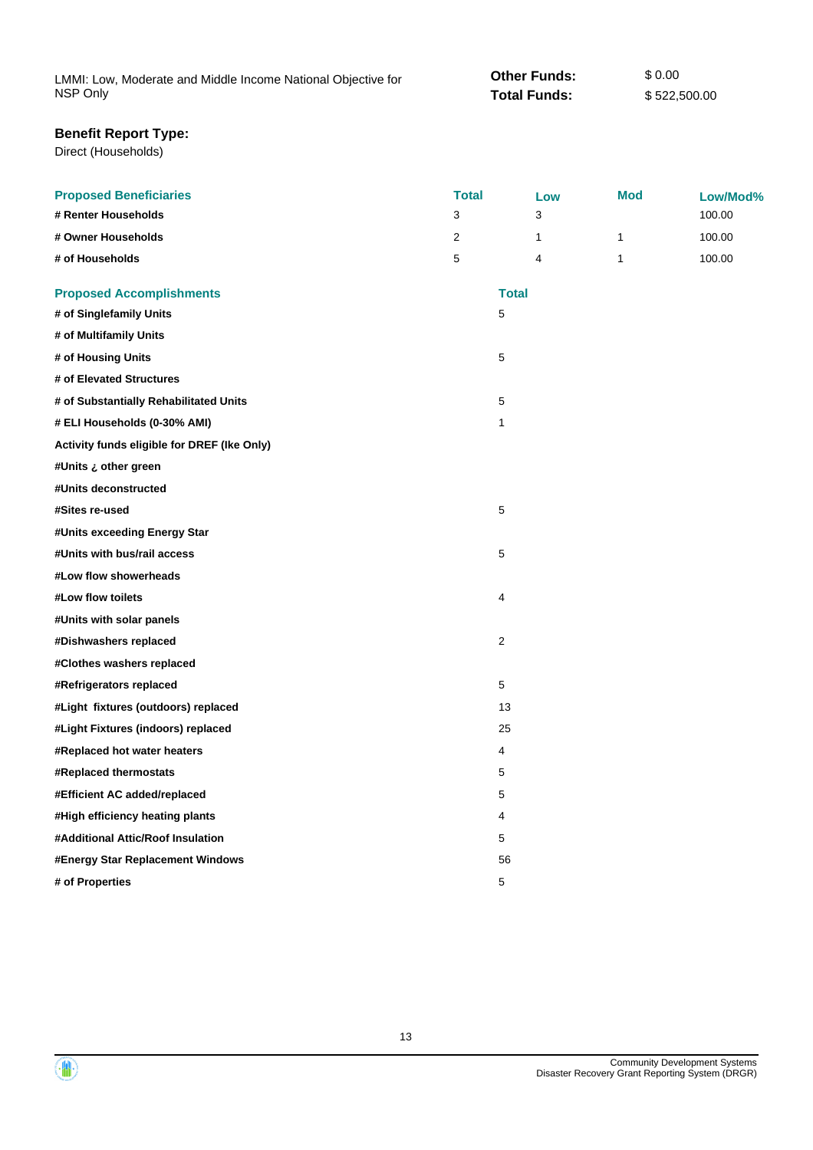LMMI: Low, Moderate and Middle Income National Objective for NSP Only **Other Funds:** \$ 0.00 **Total Funds:** \$522,500.00

#### **Benefit Report Type:**

Direct (Households)

| # Renter Households<br>3<br>3<br>100.00<br># Owner Households<br>2<br>1<br>1<br>100.00<br>5<br># of Households<br>1<br>4<br>100.00<br><b>Proposed Accomplishments</b><br><b>Total</b><br>5<br># of Singlefamily Units<br># of Multifamily Units<br>5<br># of Housing Units<br># of Elevated Structures<br># of Substantially Rehabilitated Units<br>5<br># ELI Households (0-30% AMI)<br>1<br>Activity funds eligible for DREF (Ike Only)<br>#Units ¿ other green<br>#Units deconstructed<br>5<br>#Sites re-used<br>#Units exceeding Energy Star<br>#Units with bus/rail access<br>5<br>#Low flow showerheads<br>#Low flow toilets<br>4<br>#Units with solar panels<br>$\overline{c}$<br>#Dishwashers replaced<br>#Clothes washers replaced<br>#Refrigerators replaced<br>5<br>#Light fixtures (outdoors) replaced<br>13<br>#Light Fixtures (indoors) replaced<br>25<br>#Replaced hot water heaters<br>4<br>5<br>#Replaced thermostats<br>#Efficient AC added/replaced<br>5<br>#High efficiency heating plants<br>4<br>#Additional Attic/Roof Insulation<br>5<br>#Energy Star Replacement Windows<br>56<br># of Properties<br>5 | <b>Proposed Beneficiaries</b> | <b>Total</b> | Low | <b>Mod</b> | Low/Mod% |
|---------------------------------------------------------------------------------------------------------------------------------------------------------------------------------------------------------------------------------------------------------------------------------------------------------------------------------------------------------------------------------------------------------------------------------------------------------------------------------------------------------------------------------------------------------------------------------------------------------------------------------------------------------------------------------------------------------------------------------------------------------------------------------------------------------------------------------------------------------------------------------------------------------------------------------------------------------------------------------------------------------------------------------------------------------------------------------------------------------------------------------|-------------------------------|--------------|-----|------------|----------|
|                                                                                                                                                                                                                                                                                                                                                                                                                                                                                                                                                                                                                                                                                                                                                                                                                                                                                                                                                                                                                                                                                                                                 |                               |              |     |            |          |
|                                                                                                                                                                                                                                                                                                                                                                                                                                                                                                                                                                                                                                                                                                                                                                                                                                                                                                                                                                                                                                                                                                                                 |                               |              |     |            |          |
|                                                                                                                                                                                                                                                                                                                                                                                                                                                                                                                                                                                                                                                                                                                                                                                                                                                                                                                                                                                                                                                                                                                                 |                               |              |     |            |          |
|                                                                                                                                                                                                                                                                                                                                                                                                                                                                                                                                                                                                                                                                                                                                                                                                                                                                                                                                                                                                                                                                                                                                 |                               |              |     |            |          |
|                                                                                                                                                                                                                                                                                                                                                                                                                                                                                                                                                                                                                                                                                                                                                                                                                                                                                                                                                                                                                                                                                                                                 |                               |              |     |            |          |
|                                                                                                                                                                                                                                                                                                                                                                                                                                                                                                                                                                                                                                                                                                                                                                                                                                                                                                                                                                                                                                                                                                                                 |                               |              |     |            |          |
|                                                                                                                                                                                                                                                                                                                                                                                                                                                                                                                                                                                                                                                                                                                                                                                                                                                                                                                                                                                                                                                                                                                                 |                               |              |     |            |          |
|                                                                                                                                                                                                                                                                                                                                                                                                                                                                                                                                                                                                                                                                                                                                                                                                                                                                                                                                                                                                                                                                                                                                 |                               |              |     |            |          |
|                                                                                                                                                                                                                                                                                                                                                                                                                                                                                                                                                                                                                                                                                                                                                                                                                                                                                                                                                                                                                                                                                                                                 |                               |              |     |            |          |
|                                                                                                                                                                                                                                                                                                                                                                                                                                                                                                                                                                                                                                                                                                                                                                                                                                                                                                                                                                                                                                                                                                                                 |                               |              |     |            |          |
|                                                                                                                                                                                                                                                                                                                                                                                                                                                                                                                                                                                                                                                                                                                                                                                                                                                                                                                                                                                                                                                                                                                                 |                               |              |     |            |          |
|                                                                                                                                                                                                                                                                                                                                                                                                                                                                                                                                                                                                                                                                                                                                                                                                                                                                                                                                                                                                                                                                                                                                 |                               |              |     |            |          |
|                                                                                                                                                                                                                                                                                                                                                                                                                                                                                                                                                                                                                                                                                                                                                                                                                                                                                                                                                                                                                                                                                                                                 |                               |              |     |            |          |
|                                                                                                                                                                                                                                                                                                                                                                                                                                                                                                                                                                                                                                                                                                                                                                                                                                                                                                                                                                                                                                                                                                                                 |                               |              |     |            |          |
|                                                                                                                                                                                                                                                                                                                                                                                                                                                                                                                                                                                                                                                                                                                                                                                                                                                                                                                                                                                                                                                                                                                                 |                               |              |     |            |          |
|                                                                                                                                                                                                                                                                                                                                                                                                                                                                                                                                                                                                                                                                                                                                                                                                                                                                                                                                                                                                                                                                                                                                 |                               |              |     |            |          |
|                                                                                                                                                                                                                                                                                                                                                                                                                                                                                                                                                                                                                                                                                                                                                                                                                                                                                                                                                                                                                                                                                                                                 |                               |              |     |            |          |
|                                                                                                                                                                                                                                                                                                                                                                                                                                                                                                                                                                                                                                                                                                                                                                                                                                                                                                                                                                                                                                                                                                                                 |                               |              |     |            |          |
|                                                                                                                                                                                                                                                                                                                                                                                                                                                                                                                                                                                                                                                                                                                                                                                                                                                                                                                                                                                                                                                                                                                                 |                               |              |     |            |          |
|                                                                                                                                                                                                                                                                                                                                                                                                                                                                                                                                                                                                                                                                                                                                                                                                                                                                                                                                                                                                                                                                                                                                 |                               |              |     |            |          |
|                                                                                                                                                                                                                                                                                                                                                                                                                                                                                                                                                                                                                                                                                                                                                                                                                                                                                                                                                                                                                                                                                                                                 |                               |              |     |            |          |
|                                                                                                                                                                                                                                                                                                                                                                                                                                                                                                                                                                                                                                                                                                                                                                                                                                                                                                                                                                                                                                                                                                                                 |                               |              |     |            |          |
|                                                                                                                                                                                                                                                                                                                                                                                                                                                                                                                                                                                                                                                                                                                                                                                                                                                                                                                                                                                                                                                                                                                                 |                               |              |     |            |          |
|                                                                                                                                                                                                                                                                                                                                                                                                                                                                                                                                                                                                                                                                                                                                                                                                                                                                                                                                                                                                                                                                                                                                 |                               |              |     |            |          |
|                                                                                                                                                                                                                                                                                                                                                                                                                                                                                                                                                                                                                                                                                                                                                                                                                                                                                                                                                                                                                                                                                                                                 |                               |              |     |            |          |
|                                                                                                                                                                                                                                                                                                                                                                                                                                                                                                                                                                                                                                                                                                                                                                                                                                                                                                                                                                                                                                                                                                                                 |                               |              |     |            |          |
|                                                                                                                                                                                                                                                                                                                                                                                                                                                                                                                                                                                                                                                                                                                                                                                                                                                                                                                                                                                                                                                                                                                                 |                               |              |     |            |          |
|                                                                                                                                                                                                                                                                                                                                                                                                                                                                                                                                                                                                                                                                                                                                                                                                                                                                                                                                                                                                                                                                                                                                 |                               |              |     |            |          |
|                                                                                                                                                                                                                                                                                                                                                                                                                                                                                                                                                                                                                                                                                                                                                                                                                                                                                                                                                                                                                                                                                                                                 |                               |              |     |            |          |
|                                                                                                                                                                                                                                                                                                                                                                                                                                                                                                                                                                                                                                                                                                                                                                                                                                                                                                                                                                                                                                                                                                                                 |                               |              |     |            |          |
|                                                                                                                                                                                                                                                                                                                                                                                                                                                                                                                                                                                                                                                                                                                                                                                                                                                                                                                                                                                                                                                                                                                                 |                               |              |     |            |          |
|                                                                                                                                                                                                                                                                                                                                                                                                                                                                                                                                                                                                                                                                                                                                                                                                                                                                                                                                                                                                                                                                                                                                 |                               |              |     |            |          |



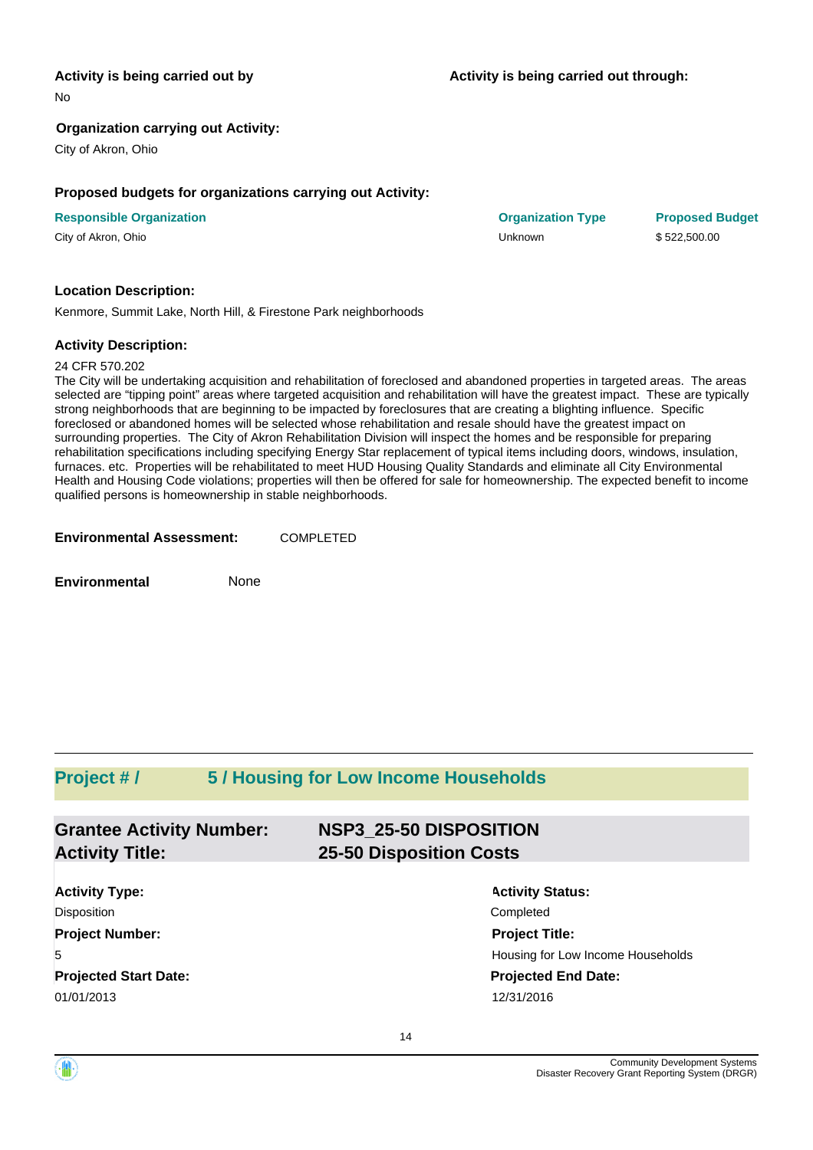#### **Activity is being carried out by**

No

#### **Organization carrying out Activity:**

City of Akron, Ohio

#### **Proposed budgets for organizations carrying out Activity:**

#### **Responsible Organization Organization Type Proposed Budget**

City of Akron, Ohio Unknown \$ 522,500.00

#### **Location Description:**

Kenmore, Summit Lake, North Hill, & Firestone Park neighborhoods

#### **Activity Description:**

#### 24 CFR 570.202

The City will be undertaking acquisition and rehabilitation of foreclosed and abandoned properties in targeted areas. The areas selected are "tipping point" areas where targeted acquisition and rehabilitation will have the greatest impact. These are typically strong neighborhoods that are beginning to be impacted by foreclosures that are creating a blighting influence. Specific foreclosed or abandoned homes will be selected whose rehabilitation and resale should have the greatest impact on surrounding properties. The City of Akron Rehabilitation Division will inspect the homes and be responsible for preparing rehabilitation specifications including specifying Energy Star replacement of typical items including doors, windows, insulation, furnaces. etc. Properties will be rehabilitated to meet HUD Housing Quality Standards and eliminate all City Environmental Health and Housing Code violations; properties will then be offered for sale for homeownership. The expected benefit to income qualified persons is homeownership in stable neighborhoods.

| <b>Environmental Assessment:</b> | <b>COMPLETED</b> |
|----------------------------------|------------------|
|                                  |                  |

**Environmental** None

### **Project # / 5 / Housing for Low Income Households**

| <b>Grantee Activity Number:</b> | <b>NSP3 25-50 DISPOSITION</b>  |
|---------------------------------|--------------------------------|
| <b>Activity Title:</b>          | <b>25-50 Disposition Costs</b> |
|                                 |                                |

**Projected Start Date: Activity Type:** 01/01/2013 12/31/2016 Disposition Completed **Project Number:** 5

## **Activity Status: Project Title:** Housing for Low Income Households

**Projected End Date:**

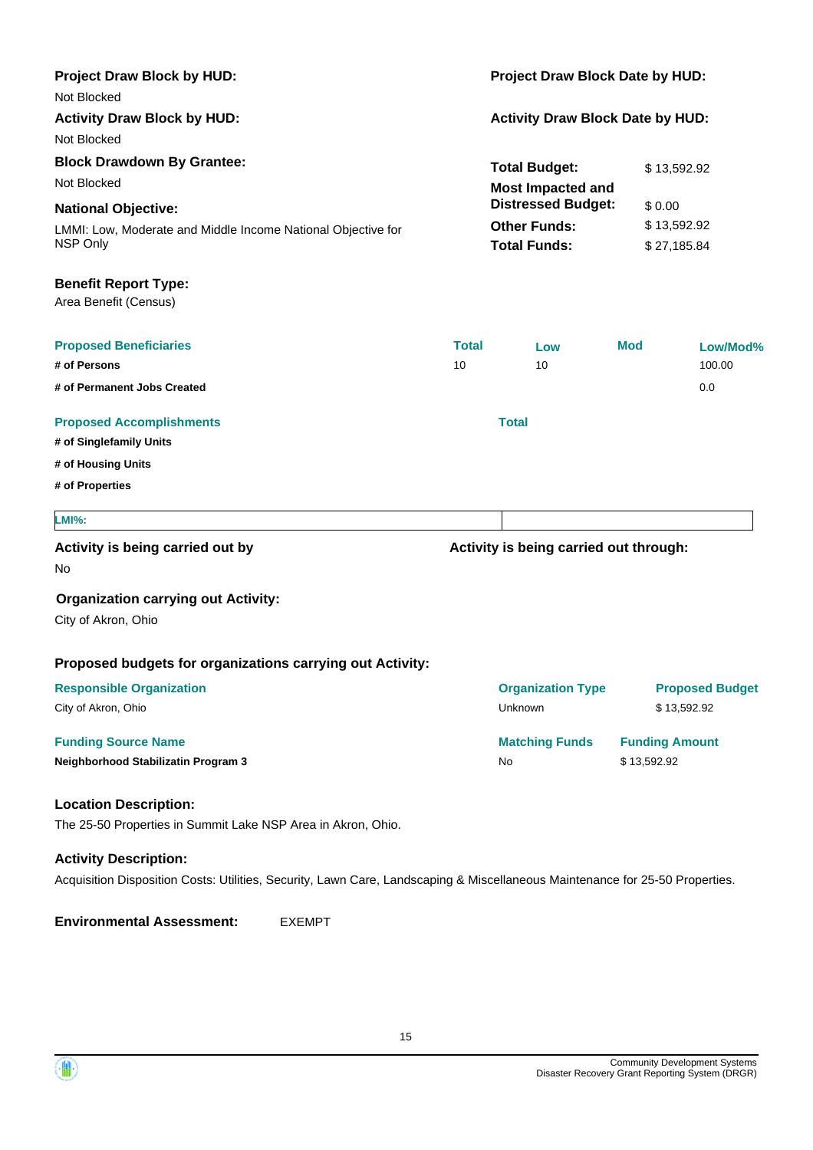| <b>Project Draw Block by HUD:</b><br>Not Blocked                                                                             |              | Project Draw Block Date by HUD:            |             |                            |
|------------------------------------------------------------------------------------------------------------------------------|--------------|--------------------------------------------|-------------|----------------------------|
| <b>Activity Draw Block by HUD:</b><br><b>Activity Draw Block Date by HUD:</b>                                                |              |                                            |             |                            |
| Not Blocked                                                                                                                  |              |                                            |             |                            |
| <b>Block Drawdown By Grantee:</b>                                                                                            |              | <b>Total Budget:</b>                       |             | \$13,592.92                |
| Not Blocked                                                                                                                  |              | <b>Most Impacted and</b>                   |             |                            |
| <b>National Objective:</b>                                                                                                   |              | <b>Distressed Budget:</b>                  |             | \$0.00                     |
| LMMI: Low, Moderate and Middle Income National Objective for<br>NSP Only                                                     |              | <b>Other Funds:</b><br><b>Total Funds:</b> |             | \$13,592.92<br>\$27,185.84 |
| <b>Benefit Report Type:</b><br>Area Benefit (Census)                                                                         |              |                                            |             |                            |
| <b>Proposed Beneficiaries</b>                                                                                                | <b>Total</b> | Low                                        | <b>Mod</b>  | Low/Mod%                   |
| # of Persons                                                                                                                 | 10           | 10                                         |             | 100.00                     |
| # of Permanent Jobs Created                                                                                                  |              |                                            |             | 0.0                        |
| <b>Proposed Accomplishments</b>                                                                                              |              | <b>Total</b>                               |             |                            |
| # of Singlefamily Units                                                                                                      |              |                                            |             |                            |
| # of Housing Units                                                                                                           |              |                                            |             |                            |
| # of Properties                                                                                                              |              |                                            |             |                            |
| LMI%:                                                                                                                        |              |                                            |             |                            |
| Activity is being carried out by                                                                                             |              | Activity is being carried out through:     |             |                            |
| No                                                                                                                           |              |                                            |             |                            |
| <b>Organization carrying out Activity:</b><br>City of Akron, Ohio                                                            |              |                                            |             |                            |
| Proposed budgets for organizations carrying out Activity:                                                                    |              |                                            |             |                            |
| <b>Responsible Organization</b>                                                                                              |              | <b>Organization Type</b>                   |             | <b>Proposed Budget</b>     |
| City of Akron, Ohio                                                                                                          |              | Unknown                                    |             | \$13,592.92                |
| <b>Funding Source Name</b>                                                                                                   |              | <b>Matching Funds</b>                      |             | <b>Funding Amount</b>      |
| Neighborhood Stabilizatin Program 3                                                                                          |              | No                                         | \$13,592.92 |                            |
| <b>Location Description:</b>                                                                                                 |              |                                            |             |                            |
| The 25-50 Properties in Summit Lake NSP Area in Akron, Ohio.                                                                 |              |                                            |             |                            |
| <b>Activity Description:</b>                                                                                                 |              |                                            |             |                            |
| Acquisition Disposition Costs: Utilities, Security, Lawn Care, Landscaping & Miscellaneous Maintenance for 25-50 Properties. |              |                                            |             |                            |
|                                                                                                                              |              |                                            |             |                            |

**Environmental Assessment:** EXEMPT

 $\langle \hat{\mathbf{a}} \rangle$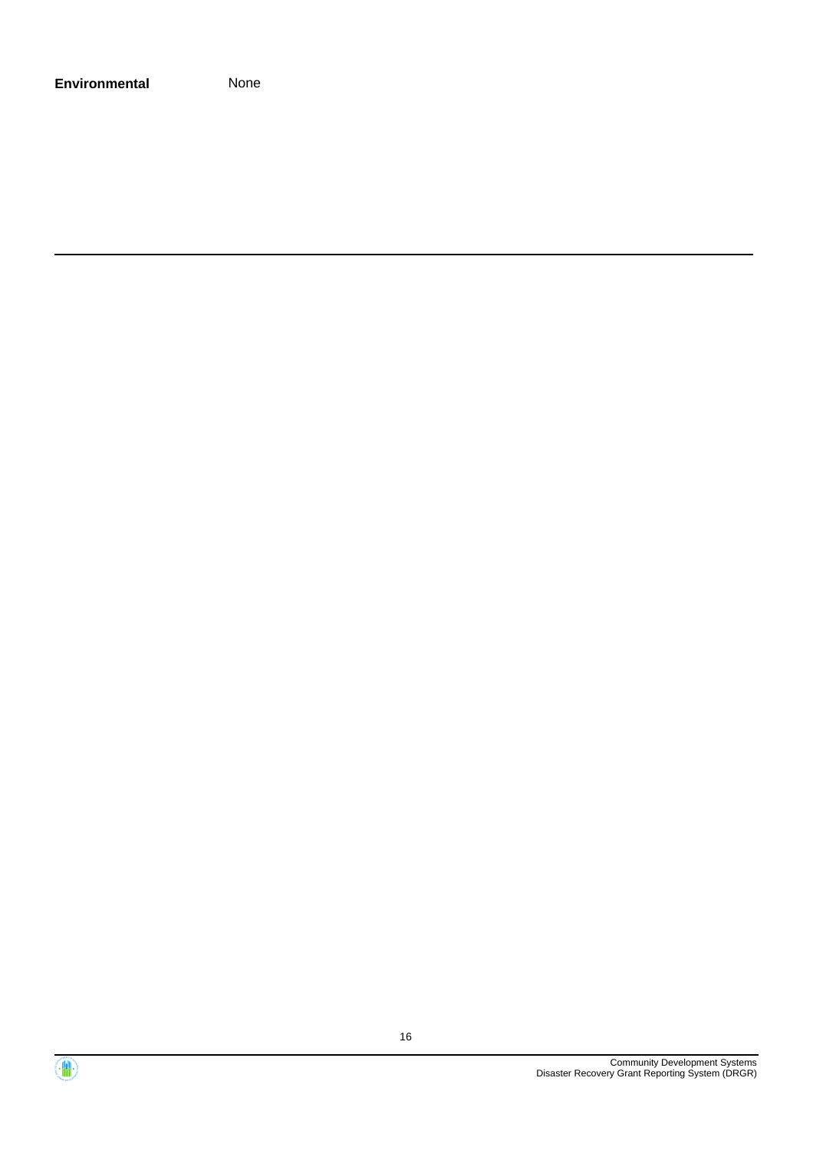| <b>Environmental</b> | None |
|----------------------|------|
|                      |      |

Community Development Systems Disaster Recovery Grant Reporting System (DRGR)

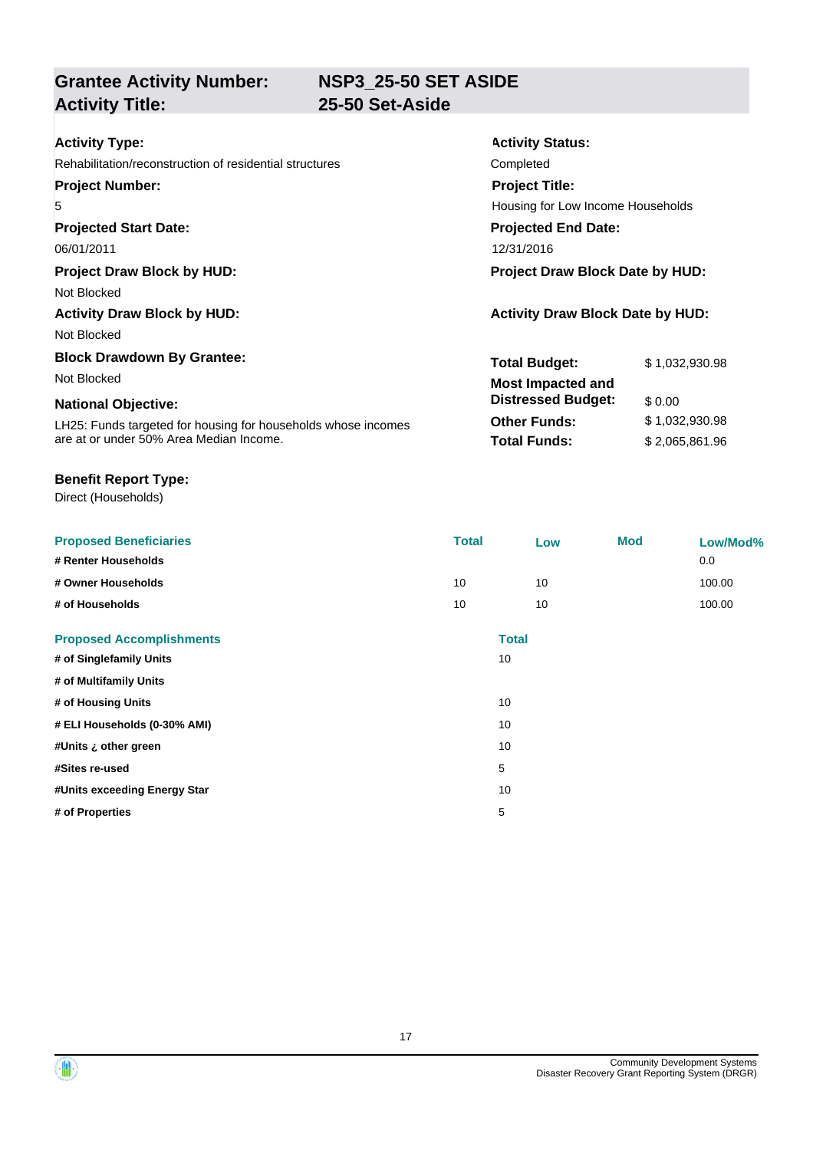**Grantee Activity Number:**

## **NSP3\_25-50 SET ASIDE Activity Title: 25-50 Set-Aside**

| <b>Activity Type:</b>                                         | <b>Activity Status:</b>                 |                |  |
|---------------------------------------------------------------|-----------------------------------------|----------------|--|
| Rehabilitation/reconstruction of residential structures       | Completed                               |                |  |
| <b>Project Number:</b>                                        | <b>Project Title:</b>                   |                |  |
| 5                                                             | Housing for Low Income Households       |                |  |
| <b>Projected Start Date:</b>                                  | <b>Projected End Date:</b>              |                |  |
| 06/01/2011                                                    | 12/31/2016                              |                |  |
| <b>Project Draw Block by HUD:</b>                             | <b>Project Draw Block Date by HUD:</b>  |                |  |
| Not Blocked                                                   |                                         |                |  |
| <b>Activity Draw Block by HUD:</b>                            | <b>Activity Draw Block Date by HUD:</b> |                |  |
| Not Blocked                                                   |                                         |                |  |
| <b>Block Drawdown By Grantee:</b>                             | <b>Total Budget:</b>                    | \$1,032,930.98 |  |
| Not Blocked                                                   | <b>Most Impacted and</b>                |                |  |
| <b>National Objective:</b>                                    | <b>Distressed Budget:</b>               | \$0.00         |  |
| LH25: Funds targeted for housing for households whose incomes | <b>Other Funds:</b>                     | \$1,032,930.98 |  |
| are at or under 50% Area Median Income.                       | <b>Total Funds:</b>                     | \$2,065,861.96 |  |

#### **Benefit Report Type:**

Direct (Households)

| <b>Proposed Beneficiaries</b>   | <b>Total</b> |              | Low | <b>Mod</b> | Low/Mod% |
|---------------------------------|--------------|--------------|-----|------------|----------|
| # Renter Households             |              |              |     |            | 0.0      |
| # Owner Households              | 10           |              | 10  |            | 100.00   |
| # of Households                 | 10           |              | 10  |            | 100.00   |
| <b>Proposed Accomplishments</b> |              | <b>Total</b> |     |            |          |
| # of Singlefamily Units         |              | 10           |     |            |          |
| # of Multifamily Units          |              |              |     |            |          |
| # of Housing Units              |              | 10           |     |            |          |
| # ELI Households (0-30% AMI)    |              | 10           |     |            |          |
| #Units ¿ other green            |              | 10           |     |            |          |
| #Sites re-used                  |              | 5            |     |            |          |
| #Units exceeding Energy Star    |              | 10           |     |            |          |
| # of Properties                 |              | 5            |     |            |          |
|                                 |              |              |     |            |          |

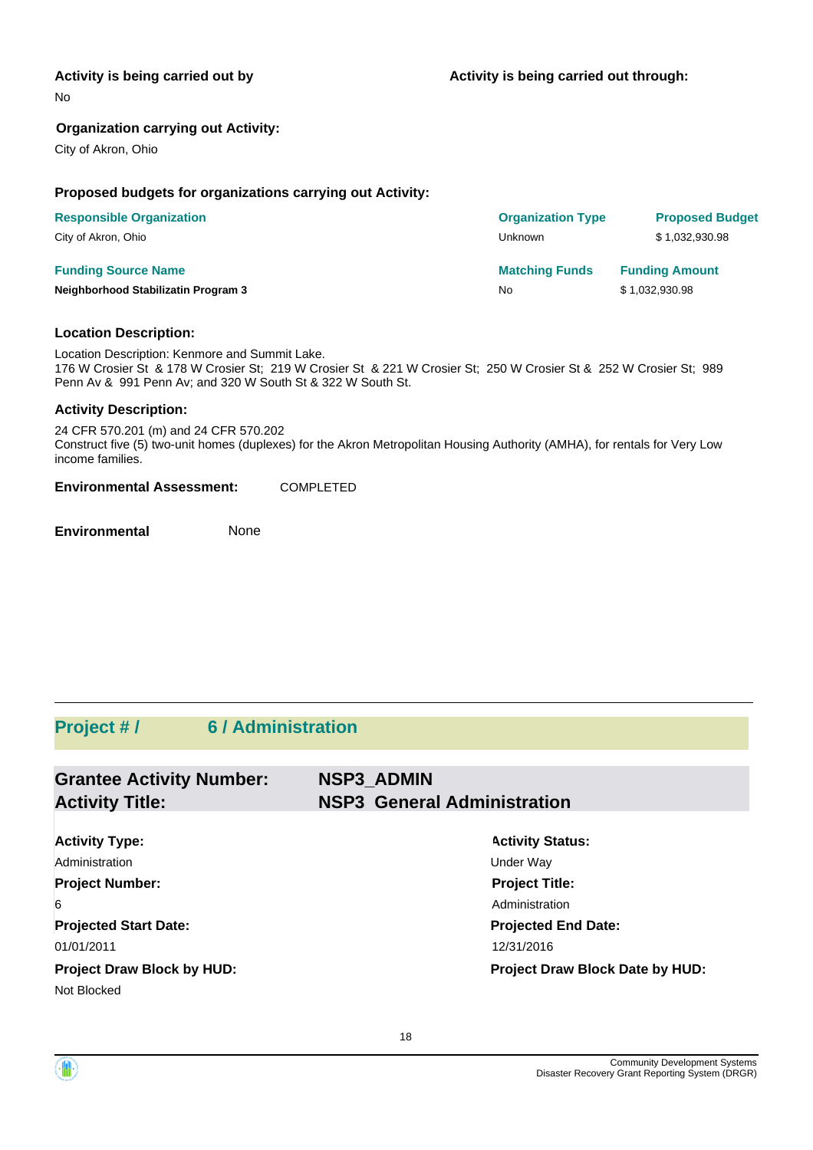#### **Activity is being carried out by**

No

#### **Organization carrying out Activity:**

City of Akron, Ohio

#### **Proposed budgets for organizations carrying out Activity:**

| <b>Responsible Organization</b>     | <b>Organization Type</b> | <b>Proposed Budget</b> |
|-------------------------------------|--------------------------|------------------------|
| City of Akron, Ohio                 | Unknown                  | \$1.032.930.98         |
| <b>Funding Source Name</b>          | <b>Matching Funds</b>    | <b>Funding Amount</b>  |
| Neighborhood Stabilizatin Program 3 | No                       | \$1,032,930.98         |

#### **Location Description:**

Location Description: Kenmore and Summit Lake. 176 W Crosier St & 178 W Crosier St; 219 W Crosier St & 221 W Crosier St; 250 W Crosier St & 252 W Crosier St; 989 Penn Av & 991 Penn Av; and 320 W South St & 322 W South St.

#### **Activity Description:**

24 CFR 570.201 (m) and 24 CFR 570.202 Construct five (5) two-unit homes (duplexes) for the Akron Metropolitan Housing Authority (AMHA), for rentals for Very Low income families.

**Environmental Assessment:** COMPLETED

**Environmental** None

### **Project # / 6 / Administration**

| <b>Grantee Activity Number:</b><br><b>Activity Title:</b> | <b>NSP3 ADMIN</b><br><b>NSP3 General Administration</b> |  |
|-----------------------------------------------------------|---------------------------------------------------------|--|
|                                                           |                                                         |  |
| <b>Activity Type:</b>                                     | <b>Activity Status:</b>                                 |  |
| Administration                                            | Under Way                                               |  |
| Project Number:                                           | <b>Project Title:</b>                                   |  |
| 6.                                                        | Administration                                          |  |
| <b>Projected Start Date:</b>                              | <b>Projected End Date:</b>                              |  |
| 01/01/2011                                                | 12/31/2016                                              |  |
| <b>Project Draw Block by HUD:</b>                         | Project Draw Block Date by HUD:                         |  |
| Not Blocked                                               |                                                         |  |

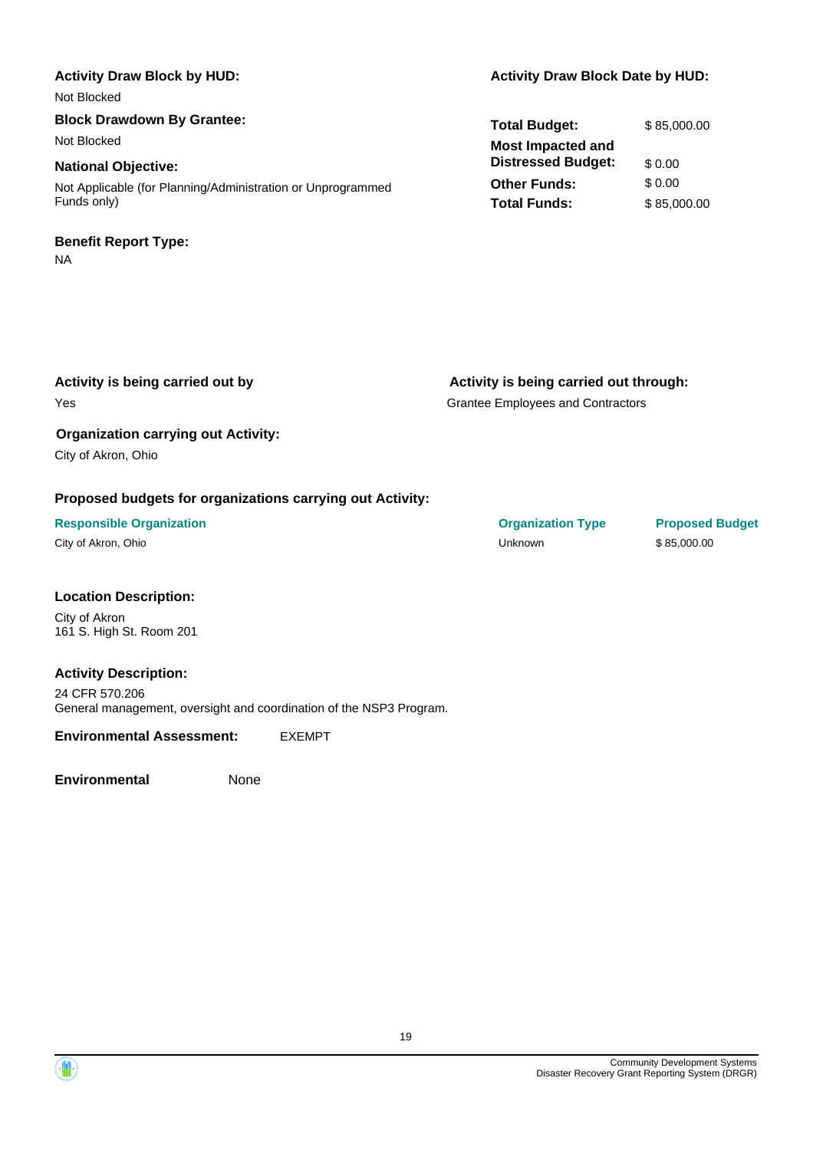| <b>Activity Draw Block by HUD:</b>                          | <b>Activity Draw Block Date by HUD:</b> |             |
|-------------------------------------------------------------|-----------------------------------------|-------------|
| Not Blocked                                                 |                                         |             |
| <b>Block Drawdown By Grantee:</b>                           | <b>Total Budget:</b>                    | \$85,000.00 |
| Not Blocked                                                 | <b>Most Impacted and</b>                | \$0.00      |
| <b>National Objective:</b>                                  | <b>Distressed Budget:</b>               |             |
| Not Applicable (for Planning/Administration or Unprogrammed | <b>Other Funds:</b>                     | \$0.00      |
| Funds only)                                                 | <b>Total Funds:</b>                     | \$85,000.00 |
| <b>Benefit Report Type:</b>                                 |                                         |             |
| <b>NA</b>                                                   |                                         |             |

| Activity is being carried out by                          | Activity is being carried out through:   |                        |
|-----------------------------------------------------------|------------------------------------------|------------------------|
| Yes                                                       | <b>Grantee Employees and Contractors</b> |                        |
| <b>Organization carrying out Activity:</b>                |                                          |                        |
| City of Akron, Ohio                                       |                                          |                        |
| Proposed budgets for organizations carrying out Activity: |                                          |                        |
| <b>Responsible Organization</b>                           | <b>Organization Type</b>                 | <b>Proposed Budget</b> |
| City of Akron, Ohio                                       | <b>Unknown</b>                           | \$85,000.00            |
|                                                           |                                          |                        |
|                                                           |                                          |                        |

#### **Location Description:**

City of Akron 161 S. High St. Room 201

#### **Activity Description:**

24 CFR 570.206 General management, oversight and coordination of the NSP3 Program.

**Environmental Assessment:** EXEMPT

**Environmental** None

| Total Budget:             | \$85,000,00 |
|---------------------------|-------------|
| <b>Most Impacted and</b>  |             |
| <b>Distressed Budget:</b> | \$0.00      |
| Other Funds:              | \$0.00      |
| Total Funds:              | \$85,000.00 |

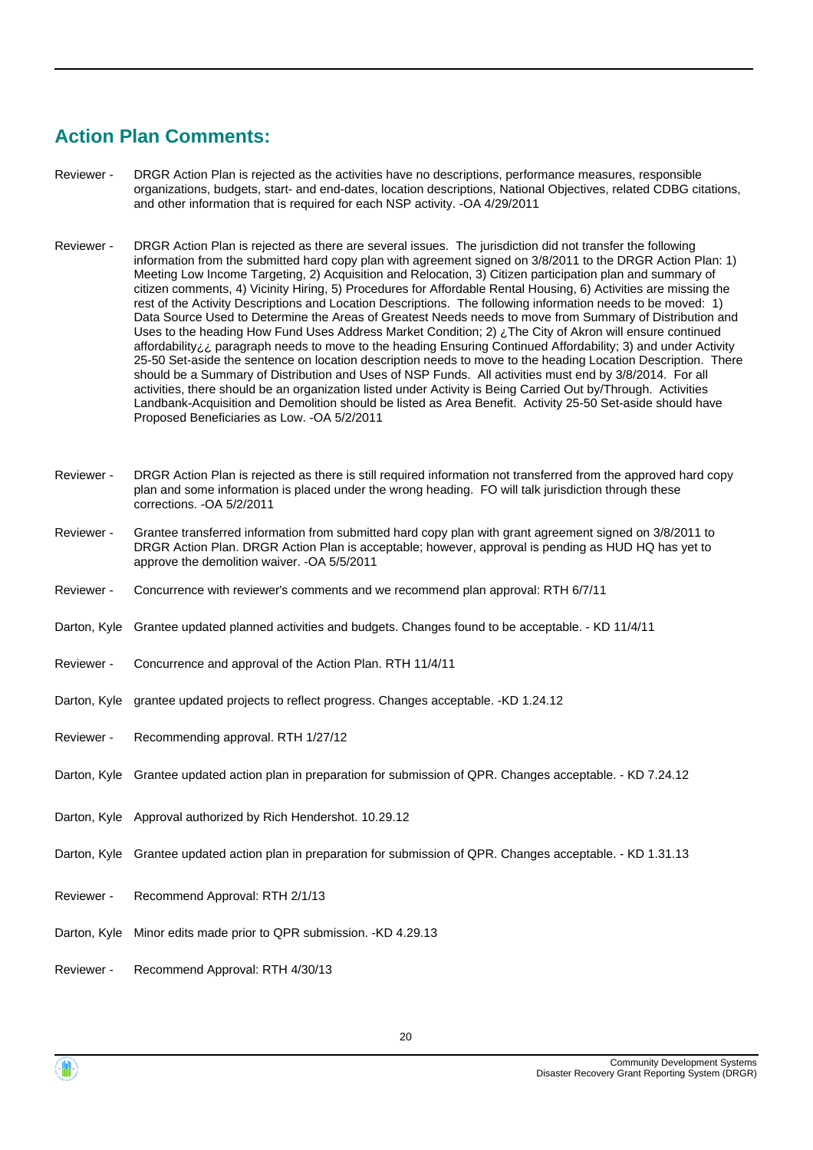## **Action Plan Comments:**

- DRGR Action Plan is rejected as the activities have no descriptions, performance measures, responsible organizations, budgets, start- and end-dates, location descriptions, National Objectives, related CDBG citations, and other information that is required for each NSP activity. -OA 4/29/2011 Reviewer -
- DRGR Action Plan is rejected as there are several issues. The jurisdiction did not transfer the following information from the submitted hard copy plan with agreement signed on 3/8/2011 to the DRGR Action Plan: 1) Meeting Low Income Targeting, 2) Acquisition and Relocation, 3) Citizen participation plan and summary of citizen comments, 4) Vicinity Hiring, 5) Procedures for Affordable Rental Housing, 6) Activities are missing the rest of the Activity Descriptions and Location Descriptions. The following information needs to be moved: 1) Data Source Used to Determine the Areas of Greatest Needs needs to move from Summary of Distribution and Uses to the heading How Fund Uses Address Market Condition; 2) ¿The City of Akron will ensure continued affordability¿¿ paragraph needs to move to the heading Ensuring Continued Affordability; 3) and under Activity 25-50 Set-aside the sentence on location description needs to move to the heading Location Description. There should be a Summary of Distribution and Uses of NSP Funds. All activities must end by 3/8/2014. For all activities, there should be an organization listed under Activity is Being Carried Out by/Through. Activities Landbank-Acquisition and Demolition should be listed as Area Benefit. Activity 25-50 Set-aside should have Proposed Beneficiaries as Low. -OA 5/2/2011 Reviewer -
- DRGR Action Plan is rejected as there is still required information not transferred from the approved hard copy plan and some information is placed under the wrong heading. FO will talk jurisdiction through these corrections. -OA 5/2/2011 Reviewer -
- Grantee transferred information from submitted hard copy plan with grant agreement signed on 3/8/2011 to DRGR Action Plan. DRGR Action Plan is acceptable; however, approval is pending as HUD HQ has yet to approve the demolition waiver. -OA 5/5/2011 Reviewer -
- Reviewer Concurrence with reviewer's comments and we recommend plan approval: RTH 6/7/11
- Darton, Kyle Grantee updated planned activities and budgets. Changes found to be acceptable. KD 11/4/11
- Reviewer Concurrence and approval of the Action Plan. RTH 11/4/11
- Darton, Kyle grantee updated projects to reflect progress. Changes acceptable. -KD 1.24.12
- Reviewer Recommending approval. RTH 1/27/12
- Darton, Kyle Grantee updated action plan in preparation for submission of QPR. Changes acceptable. KD 7.24.12
- Darton, Kyle Approval authorized by Rich Hendershot. 10.29.12
- Darton, Kyle Grantee updated action plan in preparation for submission of QPR. Changes acceptable. KD 1.31.13
- Reviewer Recommend Approval: RTH 2/1/13
- Darton, Kyle Minor edits made prior to QPR submission. -KD 4.29.13
- Reviewer Recommend Approval: RTH 4/30/13

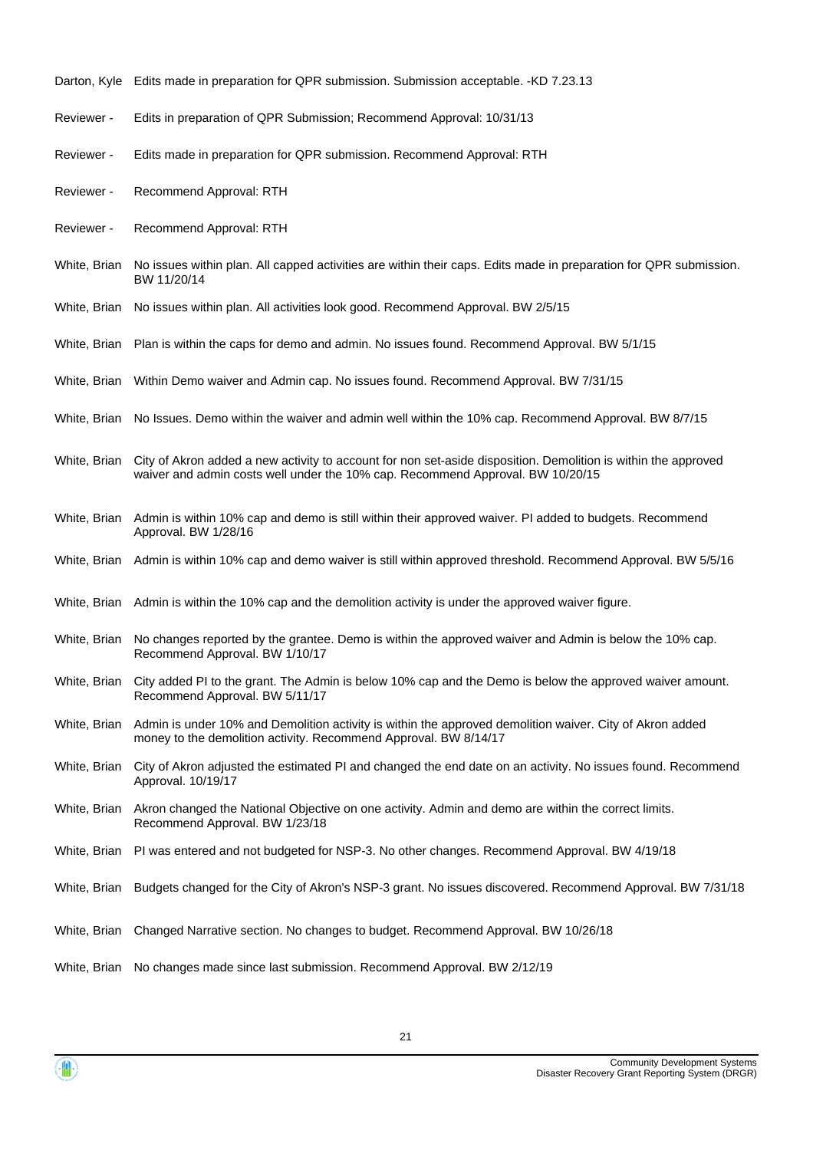- Darton, Kyle Edits made in preparation for QPR submission. Submission acceptable. -KD 7.23.13
- Reviewer Edits in preparation of QPR Submission; Recommend Approval: 10/31/13
- Reviewer Edits made in preparation for QPR submission. Recommend Approval: RTH
- Reviewer Recommend Approval: RTH
- Reviewer Recommend Approval: RTH
- White, Brian No issues within plan. All capped activities are within their caps. Edits made in preparation for QPR submission. BW 11/20/14
- White, Brian No issues within plan. All activities look good. Recommend Approval. BW 2/5/15
- White, Brian Plan is within the caps for demo and admin. No issues found. Recommend Approval. BW 5/1/15
- White, Brian Within Demo waiver and Admin cap. No issues found. Recommend Approval. BW 7/31/15
- White, Brian No Issues. Demo within the waiver and admin well within the 10% cap. Recommend Approval. BW 8/7/15
- White, Brian City of Akron added a new activity to account for non set-aside disposition. Demolition is within the approved waiver and admin costs well under the 10% cap. Recommend Approval. BW 10/20/15
- Admin is within 10% cap and demo is still within their approved waiver. PI added to budgets. Recommend Approval. BW 1/28/16 White, Brian
- White, Brian Admin is within 10% cap and demo waiver is still within approved threshold. Recommend Approval. BW 5/5/16
- White, Brian Admin is within the 10% cap and the demolition activity is under the approved waiver figure.
- White, Brian No changes reported by the grantee. Demo is within the approved waiver and Admin is below the 10% cap. Recommend Approval. BW 1/10/17
- City added PI to the grant. The Admin is below 10% cap and the Demo is below the approved waiver amount. Recommend Approval. BW 5/11/17 White, Brian
- White, Brian Admin is under 10% and Demolition activity is within the approved demolition waiver. City of Akron added money to the demolition activity. Recommend Approval. BW 8/14/17
- City of Akron adjusted the estimated PI and changed the end date on an activity. No issues found. Recommend Approval. 10/19/17 White, Brian
- White, Brian Akron changed the National Objective on one activity. Admin and demo are within the correct limits. Recommend Approval. BW 1/23/18
- White, Brian PI was entered and not budgeted for NSP-3. No other changes. Recommend Approval, BW 4/19/18
- White, Brian Budgets changed for the City of Akron's NSP-3 grant. No issues discovered. Recommend Approval. BW 7/31/18

21

- White, Brian Changed Narrative section. No changes to budget. Recommend Approval. BW 10/26/18
- White, Brian No changes made since last submission. Recommend Approval. BW 2/12/19

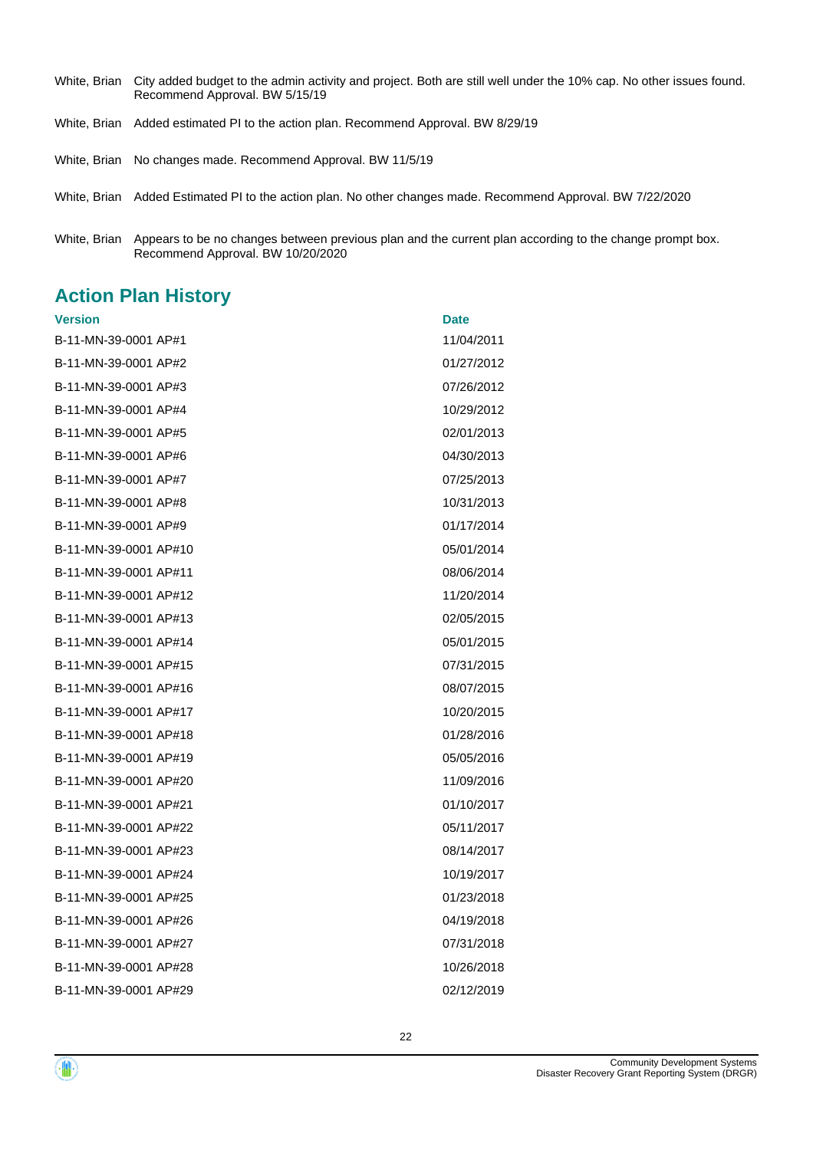- White, Brian City added budget to the admin activity and project. Both are still well under the 10% cap. No other issues found. Recommend Approval. BW 5/15/19
- White, Brian Added estimated PI to the action plan. Recommend Approval. BW 8/29/19
- White, Brian No changes made. Recommend Approval. BW 11/5/19
- White, Brian Added Estimated PI to the action plan. No other changes made. Recommend Approval. BW 7/22/2020
- White, Brian Appears to be no changes between previous plan and the current plan according to the change prompt box. Recommend Approval. BW 10/20/2020

### **Action Plan History**

| <b>Version</b>        | <b>Date</b> |
|-----------------------|-------------|
| B-11-MN-39-0001 AP#1  | 11/04/2011  |
| B-11-MN-39-0001 AP#2  | 01/27/2012  |
| B-11-MN-39-0001 AP#3  | 07/26/2012  |
| B-11-MN-39-0001 AP#4  | 10/29/2012  |
| B-11-MN-39-0001 AP#5  | 02/01/2013  |
| B-11-MN-39-0001 AP#6  | 04/30/2013  |
| B-11-MN-39-0001 AP#7  | 07/25/2013  |
| B-11-MN-39-0001 AP#8  | 10/31/2013  |
| B-11-MN-39-0001 AP#9  | 01/17/2014  |
| B-11-MN-39-0001 AP#10 | 05/01/2014  |
| B-11-MN-39-0001 AP#11 | 08/06/2014  |
| B-11-MN-39-0001 AP#12 | 11/20/2014  |
| B-11-MN-39-0001 AP#13 | 02/05/2015  |
| B-11-MN-39-0001 AP#14 | 05/01/2015  |
| B-11-MN-39-0001 AP#15 | 07/31/2015  |
| B-11-MN-39-0001 AP#16 | 08/07/2015  |
| B-11-MN-39-0001 AP#17 | 10/20/2015  |
| B-11-MN-39-0001 AP#18 | 01/28/2016  |
| B-11-MN-39-0001 AP#19 | 05/05/2016  |
| B-11-MN-39-0001 AP#20 | 11/09/2016  |
| B-11-MN-39-0001 AP#21 | 01/10/2017  |
| B-11-MN-39-0001 AP#22 | 05/11/2017  |
| B-11-MN-39-0001 AP#23 | 08/14/2017  |
| B-11-MN-39-0001 AP#24 | 10/19/2017  |
| B-11-MN-39-0001 AP#25 | 01/23/2018  |
| B-11-MN-39-0001 AP#26 | 04/19/2018  |
| B-11-MN-39-0001 AP#27 | 07/31/2018  |
| B-11-MN-39-0001 AP#28 | 10/26/2018  |
| B-11-MN-39-0001 AP#29 | 02/12/2019  |
|                       |             |